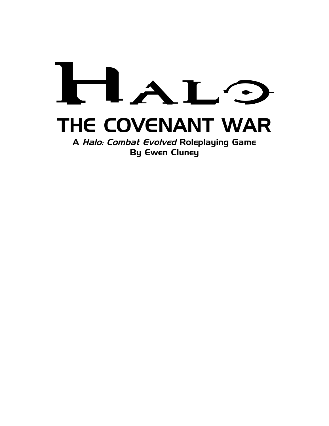# $\blacksquare$ THE COVENANT WAR

A Halo: Combat Evolved Roleplaying Game By Ewen Cluney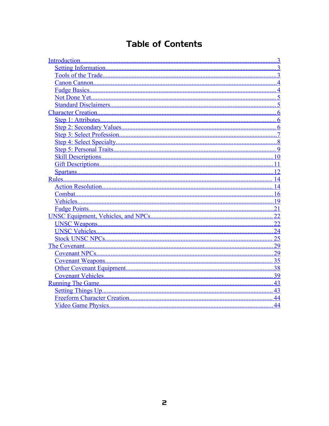# Table of Contents

|        | 3              |
|--------|----------------|
|        | $\ldots$ 3     |
|        |                |
|        |                |
|        |                |
|        |                |
|        |                |
|        |                |
|        |                |
|        |                |
|        |                |
|        | $\overline{8}$ |
|        | 9              |
|        | 10             |
|        |                |
|        | 12             |
| Rules. | 14             |
|        |                |
|        | $\dots 16$     |
|        | .19            |
|        | 21             |
|        | 22             |
|        |                |
|        |                |
|        | 25             |
|        | 29             |
|        | 29             |
|        | $\dots 35$     |
|        |                |
|        | 39             |
|        | 43             |
|        | 43             |
|        | 44             |
|        | 44             |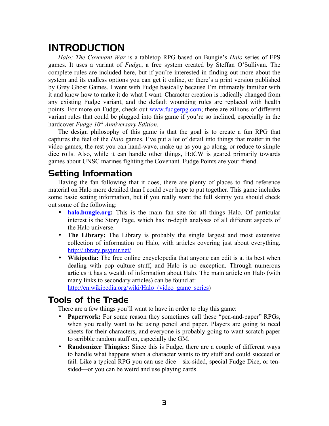# <span id="page-2-2"></span>INTRODUCTION

*Halo: The Covenant War* is a tabletop RPG based on Bungie's *Halo* series of FPS games. It uses a variant of *Fudge*, a free system created by Steffan O'Sullivan. The complete rules are included here, but if you're interested in finding out more about the system and its endless options you can get it online, or there's a print version published by Grey Ghost Games. I went with Fudge basically because I'm intimately familiar with it and know how to make it do what I want. Character creation is radically changed from any existing Fudge variant, and the default wounding rules are replaced with health points. For more on Fudge, check out [www.fudgerpg.com;](http://www.fudgerpg.com/) there are zillions of different variant rules that could be plugged into this game if you're so inclined, especially in the hardcover *Fudge 10th Anniversary Edition*.

The design philosophy of this game is that the goal is to create a fun RPG that captures the feel of the *Halo* games. I've put a lot of detail into things that matter in the video games; the rest you can hand-wave, make up as you go along, or reduce to simple dice rolls. Also, while it can handle other things, H:tCW is geared primarily towards games about UNSC marines fighting the Covenant. Fudge Points are your friend.

# <span id="page-2-1"></span>Setting Information

Having the fan following that it does, there are plenty of places to find reference material on Halo more detailed than I could ever hope to put together. This game includes some basic setting information, but if you really want the full skinny you should check out some of the following:

- **halo.bungie.org:** This is the main fan site for all things Halo. Of particular interest is the Story Page, which has in-depth analyses of all different aspects of the Halo universe.
- **The Library:** The Library is probably the single largest and most extensive collection of information on Halo, with articles covering just about everything. <http://library.psyjnir.net/>
- **Wikipedia:** The free online encyclopedia that anyone can edit is at its best when dealing with pop culture stuff, and Halo is no exception. Through numerous articles it has a wealth of information about Halo. The main article on Halo (with many links to secondary articles) can be found at:

http://en.wikipedia.org/wiki/Halo (video game series)

## <span id="page-2-0"></span>Tools of the Trade

There are a few things you'll want to have in order to play this game:

- **Paperwork:** For some reason they sometimes call these "pen-and-paper" RPGs, when you really want to be using pencil and paper. Players are going to need sheets for their characters, and everyone is probably going to want scratch paper to scribble random stuff on, especially the GM.
- **Randomizer Thingies:** Since this is Fudge, there are a couple of different ways to handle what happens when a character wants to try stuff and could succeed or fail. Like a typical RPG you can use dice—six-sided, special Fudge Dice, or tensided—or you can be weird and use playing cards.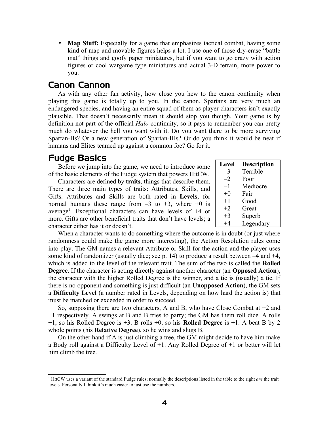• **Map Stuff:** Especially for a game that emphasizes tactical combat, having some kind of map and movable figures helps a lot. I use one of those dry-erase "battle mat" things and goofy paper miniatures, but if you want to go crazy with action figures or cool wargame type miniatures and actual 3-D terrain, more power to you.

## <span id="page-3-1"></span>Canon Cannon

As with any other fan activity, how close you hew to the canon continuity when playing this game is totally up to you. In the canon, Spartans are very much an endangered species, and having an entire squad of them as player characters isn't exactly plausible. That doesn't necessarily mean it should stop you though. Your game is by definition not part of the official *Halo* continuity, so it pays to remember you can pretty much do whatever the hell you want with it. Do you want there to be more surviving Spartan-IIs? Or a new generation of Spartan-IIIs? Or do you think it would be neat if humans and Elites teamed up against a common foe? Go for it.

## <span id="page-3-0"></span>Fudge Basics

Before we jump into the game, we need to introduce some of the basic elements of the Fudge system that powers H:tCW.

Characters are defined by **traits**, things that describe them. There are three main types of traits: Attributes, Skills, and Gifts. Attributes and Skills are both rated in **Levels**; for normal humans these range from  $-3$  to  $+3$ , where  $+0$  is average<sup>[1](#page-3-2)</sup>. Exceptional characters can have levels of +4 or more. Gifts are other beneficial traits that don't have levels; a character either has it or doesn't.

| <b>Level</b> | <b>Description</b> |
|--------------|--------------------|
| $-3$         | Terrible           |
| $-2$         | Poor               |
| $-1$         | Mediocre           |
| $+0$         | Fair               |
| $+1$         | Good               |
| $+2$         | Great              |
| $+3$         | Superb             |
|              | Legendary          |

When a character wants to do something where the outcome is in doubt (or just where randomness could make the game more interesting), the Action Resolution rules come into play. The GM names a relevant Attribute or Skill for the action and the player uses some kind of randomizer (usually dice; see p. [14](#page-13-0)) to produce a result between –4 and +4, which is added to the level of the relevant trait. The sum of the two is called the **Rolled Degree**. If the character is acting directly against another character (an **Opposed Action**), the character with the higher Rolled Degree is the winner, and a tie is (usually) a tie. If there is no opponent and something is just difficult (an **Unopposed Action**), the GM sets a **Difficulty Level** (a number rated in Levels, depending on how hard the action is) that must be matched or exceeded in order to succeed.

So, supposing there are two characters, A and B, who have Close Combat at +2 and +1 respectively. A swings at B and B tries to parry; the GM has them roll dice. A rolls +1, so his Rolled Degree is +3. B rolls +0, so his **Rolled Degree** is +1. A beat B by 2 whole points (his **Relative Degree**), so he wins and slugs B.

On the other hand if A is just climbing a tree, the GM might decide to have him make a Body roll against a Difficulty Level of +1. Any Rolled Degree of +1 or better will let him climb the tree.

<span id="page-3-2"></span><sup>1</sup> H:tCW uses a variant of the standard Fudge rules; normally the descriptions listed in the table to the right *are* the trait levels. Personally I think it's much easier to just use the numbers.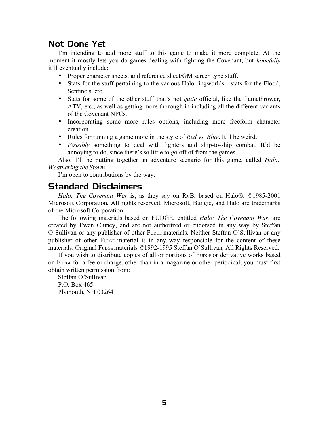## <span id="page-4-1"></span>Not Done Yet

I'm intending to add more stuff to this game to make it more complete. At the moment it mostly lets you do games dealing with fighting the Covenant, but *hopefully* it'll eventually include:

- Proper character sheets, and reference sheet/GM screen type stuff.
- Stats for the stuff pertaining to the various Halo ringworlds—stats for the Flood, Sentinels, etc.
- Stats for some of the other stuff that's not *quite* official, like the flamethrower, ATV, etc., as well as getting more thorough in including all the different variants of the Covenant NPCs.
- Incorporating some more rules options, including more freeform character creation.
- Rules for running a game more in the style of *Red vs. Blue*. It'll be weird.
- *Possibly* something to deal with fighters and ship-to-ship combat. It'd be annoying to do, since there's so little to go off of from the games.

Also, I'll be putting together an adventure scenario for this game, called *Halo: Weathering the Storm*.

I'm open to contributions by the way.

## <span id="page-4-0"></span>Standard Disclaimers

*Halo: The Covenant War* is, as they say on RvB, based on Halo®, ©1985-2001 Microsoft Corporation, All rights reserved. Microsoft, Bungie, and Halo are trademarks of the Microsoft Corporation.

The following materials based on FUDGE, entitled *Halo: The Covenant War*, are created by Ewen Cluney, and are not authorized or endorsed in any way by Steffan O'Sullivan or any publisher of other FUDGE materials. Neither Steffan O'Sullivan or any publisher of other FUDGE material is in any way responsible for the content of these materials. Original FUDGE materials ©1992-1995 Steffan O'Sullivan, All Rights Reserved.

If you wish to distribute copies of all or portions of FUDGE or derivative works based on FUDGE for a fee or charge, other than in a magazine or other periodical, you must first obtain written permission from:

Steffan O'Sullivan P.O. Box 465 Plymouth, NH 03264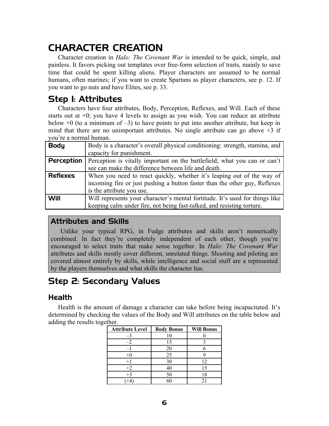# <span id="page-5-2"></span>CHARACTER CREATION

Character creation in *Halo: The Covenant War* is intended to be quick, simple, and painless. It favors picking out templates over free-form selection of traits, mainly to save time that could be spent killing aliens. Player characters are assumed to be normal humans, often marines; if you want to create Spartans as player characters, see p. [12](#page-11-0). If you want to go nuts and have Elites, see p. [33](#page-32-0).

# <span id="page-5-1"></span>Step 1: Attributes

Characters have four attributes, Body, Perception, Reflexes, and Will. Each of these starts out at  $+0$ ; you have 4 levels to assign as you wish. You can reduce an attribute below  $+0$  (to a minimum of  $-3$ ) to have points to put into another attribute, but keep in mind that there are no unimportant attributes. No single attribute can go above  $+3$  if you're a normal human.

| <b>Body</b>     | Body is a character's overall physical conditioning: strength, stamina, and  |
|-----------------|------------------------------------------------------------------------------|
|                 | capacity for punishment.                                                     |
| Perception      | Perception is vitally important on the battlefield; what you can or can't    |
|                 | see can make the difference between life and death.                          |
| <b>Reflexes</b> | When you need to react quickly, whether it's leaping out of the way of       |
|                 | incoming fire or just pushing a button faster than the other guy, Reflexes   |
|                 | is the attribute you use.                                                    |
| Will            | Will represents your character's mental fortitude. It's used for things like |
|                 | keeping calm under fire, not being fast-talked, and resisting torture.       |

## Attributes and Skills

Unlike your typical RPG, in Fudge attributes and skills aren't numerically combined. In fact they're completely independent of each other, though you're encouraged to select traits that make sense together. In *Halo: The Covenant War* attributes and skills mostly cover different, unrelated things. Shooting and piloting are covered almost entirely by skills, while intelligence and social stuff are a represented by the players themselves and what skills the character has.

# <span id="page-5-0"></span>Step 2: Secondary Values

## Health

Health is the amount of damage a character can take before being incapacitated. It's determined by checking the values of the Body and Will attributes on the table below and adding the results together.

| <b>Attribute Level</b> | <b>Body Bonus</b> | <b>Will Bonus</b> |
|------------------------|-------------------|-------------------|
|                        | 10                |                   |
|                        | 15                |                   |
|                        | 20                |                   |
| $+0$                   | 25                |                   |
| $+1$                   | 30                | 12                |
| $+2$                   | 40                | 15                |
| $+3$                   | 50                | 18                |
|                        |                   |                   |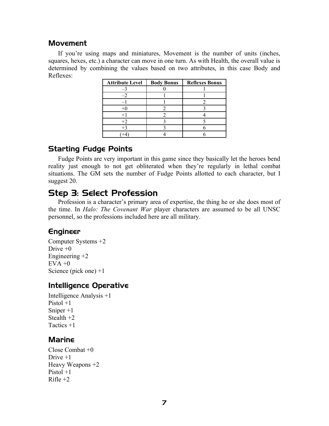## Movement

If you're using maps and miniatures, Movement is the number of units (inches, squares, hexes, etc.) a character can move in one turn. As with Health, the overall value is determined by combining the values based on two attributes, in this case Body and Reflexes:

| <b>Attribute Level</b> | <b>Body Bonus</b> | <b>Reflexes Bonus</b> |
|------------------------|-------------------|-----------------------|
|                        |                   |                       |
|                        |                   |                       |
|                        |                   |                       |
| $+$ $($                |                   |                       |
|                        |                   |                       |
| $+2$                   |                   |                       |
| $+3$                   |                   |                       |
|                        |                   |                       |

## Starting Fudge Points

Fudge Points are very important in this game since they basically let the heroes bend reality just enough to not get obliterated when they're regularly in lethal combat situations. The GM sets the number of Fudge Points allotted to each character, but I suggest 20.

# <span id="page-6-0"></span>Step 3: Select Profession

Profession is a character's primary area of expertise, the thing he or she does most of the time. In *Halo: The Covenant War* player characters are assumed to be all UNSC personnel, so the professions included here are all military.

## Engineer

Computer Systems +2 Drive  $+0$ Engineering +2  $EVA + 0$ Science (pick one) +1

## Intelligence Operative

Intelligence Analysis +1 Pistol  $+1$ Sniper +1 Stealth +2 Tactics +1

## Marine

Close Combat +0 Drive  $+1$ Heavy Weapons +2 Pistol +1  $R$ ifle  $+2$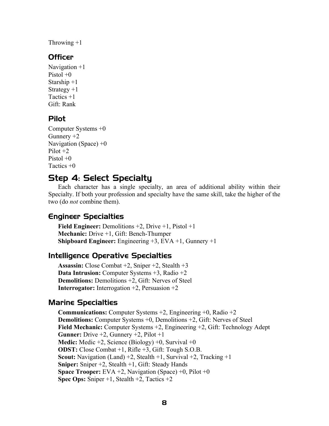Throwing  $+1$ 

## **Officer**

Navigation +1 Pistol  $+0$ Starship +1 Strategy  $+1$ Tactics +1 Gift: Rank

## Pilot

```
Computer Systems +0
Gunnery +2Navigation (Space) +0Pilot +2Pistol +0Tactics +0
```
# <span id="page-7-0"></span>Step 4: Select Specialty

Each character has a single specialty, an area of additional ability within their Specialty. If both your profession and specialty have the same skill, take the higher of the two (do *not* combine them).

## Engineer Specialties

**Field Engineer:** Demolitions +2, Drive +1, Pistol +1 **Mechanic:** Drive +1, Gift: Bench-Thumper **Shipboard Engineer:** Engineering +3, EVA +1, Gunnery +1

## Intelligence Operative Specialties

**Assassin:** Close Combat +2, Sniper +2, Stealth +3 **Data Intrusion:** Computer Systems +3, Radio +2 **Demolitions:** Demolitions +2, Gift: Nerves of Steel **Interrogator:** Interrogation +2, Persuasion +2

## Marine Specialties

**Communications:** Computer Systems +2, Engineering +0, Radio +2 **Demolitions:** Computer Systems +0, Demolitions +2, Gift: Nerves of Steel **Field Mechanic:** Computer Systems +2, Engineering +2, Gift: Technology Adept **Gunner:** Drive +2, Gunnery +2, Pilot +1 **Medic:** Medic +2, Science (Biology) +0, Survival +0 **ODST:** Close Combat +1, Rifle +3, Gift: Tough S.O.B. **Scout:** Navigation (Land) +2, Stealth +1, Survival +2, Tracking +1 **Sniper:** Sniper +2, Stealth +1, Gift: Steady Hands **Space Trooper:** EVA +2, Navigation (Space) +0, Pilot +0 **Spec Ops:** Sniper +1, Stealth +2, Tactics +2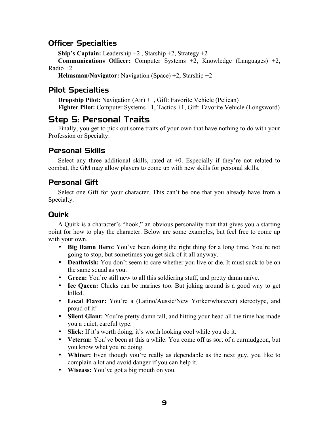## Officer Specialties

**Ship's Captain:** Leadership +2 , Starship +2, Strategy +2

**Communications Officer:** Computer Systems +2, Knowledge (Languages) +2, Radio +2

**Helmsman/Navigator:** Navigation (Space) +2, Starship +2

## Pilot Specialties

**Dropship Pilot:** Navigation (Air) +1, Gift: Favorite Vehicle (Pelican) **Fighter Pilot:** Computer Systems +1, Tactics +1, Gift: Favorite Vehicle (Longsword)

# <span id="page-8-0"></span>Step 5: Personal Traits

Finally, you get to pick out some traits of your own that have nothing to do with your Profession or Specialty.

## Personal Skills

Select any three additional skills, rated at  $+0$ . Especially if they're not related to combat, the GM may allow players to come up with new skills for personal skills.

## Personal Gift

Select one Gift for your character. This can't be one that you already have from a Specialty.

## **Quirk**

A Quirk is a character's "hook," an obvious personality trait that gives you a starting point for how to play the character. Below are some examples, but feel free to come up with your own.

- **Big Damn Hero:** You've been doing the right thing for a long time. You're not going to stop, but sometimes you get sick of it all anyway.
- **Deathwish:** You don't seem to care whether you live or die. It must suck to be on the same squad as you.
- **Green:** You're still new to all this soldiering stuff, and pretty damn naïve.
- **Ice Queen:** Chicks can be marines too. But joking around is a good way to get killed.
- **Local Flavor:** You're a (Latino/Aussie/New Yorker/whatever) stereotype, and proud of it!
- **Silent Giant:** You're pretty damn tall, and hitting your head all the time has made you a quiet, careful type.
- **Slick:** If it's worth doing, it's worth looking cool while you do it.
- **Veteran:** You've been at this a while. You come off as sort of a curmudgeon, but you know what you're doing.
- **Whiner:** Even though you're really as dependable as the next guy, you like to complain a lot and avoid danger if you can help it.
- **Wiseass:** You've got a big mouth on you.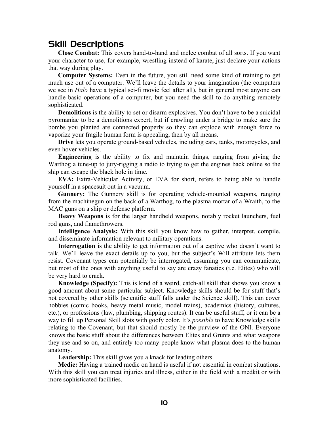## <span id="page-9-0"></span>Skill Descriptions

**Close Combat:** This covers hand-to-hand and melee combat of all sorts. If you want your character to use, for example, wrestling instead of karate, just declare your actions that way during play.

**Computer Systems:** Even in the future, you still need some kind of training to get much use out of a computer. We'll leave the details to your imagination (the computers we see in *Halo* have a typical sci-fi movie feel after all), but in general most anyone can handle basic operations of a computer, but you need the skill to do anything remotely sophisticated.

**Demolitions** is the ability to set or disarm explosives. You don't have to be a suicidal pyromaniac to be a demolitions expert, but if crawling under a bridge to make sure the bombs you planted are connected properly so they can explode with enough force to vaporize your fragile human form is appealing, then by all means.

**Drive** lets you operate ground-based vehicles, including cars, tanks, motorcycles, and even hover vehicles.

**Engineering** is the ability to fix and maintain things, ranging from giving the Warthog a tune-up to jury-rigging a radio to trying to get the engines back online so the ship can escape the black hole in time.

**EVA:** Extra-Vehicular Activity, or EVA for short, refers to being able to handle yourself in a spacesuit out in a vacuum.

**Gunnery:** The Gunnery skill is for operating vehicle-mounted weapons, ranging from the machinegun on the back of a Warthog, to the plasma mortar of a Wraith, to the MAC guns on a ship or defense platform.

**Heavy Weapons** is for the larger handheld weapons, notably rocket launchers, fuel rod guns, and flamethrowers.

**Intelligence Analysis:** With this skill you know how to gather, interpret, compile, and disseminate information relevant to military operations.

**Interrogation** is the ability to get information out of a captive who doesn't want to talk. We'll leave the exact details up to you, but the subject's Will attribute lets them resist. Covenant types can potentially be interrogated, assuming you can communicate, but most of the ones with anything useful to say are crazy fanatics (i.e. Elites) who will be very hard to crack.

**Knowledge (Specify):** This is kind of a weird, catch-all skill that shows you know a good amount about some particular subject. Knowledge skills should be for stuff that's not covered by other skills (scientific stuff falls under the Science skill). This can cover hobbies (comic books, heavy metal music, model trains), academics (history, cultures, etc.), or professions (law, plumbing, shipping routes). It can be useful stuff, or it can be a way to fill up Personal Skill slots with goofy color. It's *possible* to have Knowledge skills relating to the Covenant, but that should mostly be the purview of the ONI. Everyone knows the basic stuff about the differences between Elites and Grunts and what weapons they use and so on, and entirely too many people know what plasma does to the human anatomy.

**Leadership:** This skill gives you a knack for leading others.

**Medic:** Having a trained medic on hand is useful if not essential in combat situations. With this skill you can treat injuries and illness, either in the field with a medkit or with more sophisticated facilities.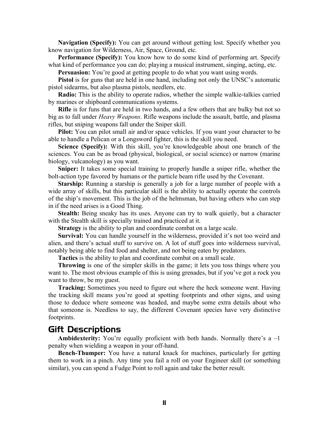**Navigation (Specify):** You can get around without getting lost. Specify whether you know navigation for Wilderness, Air, Space, Ground, etc.

**Performance (Specify):** You know how to do some kind of performing art. Specify what kind of performance you can do; playing a musical instrument, singing, acting, etc.

**Persuasion:** You're good at getting people to do what you want using words.

**Pistol** is for guns that are held in one hand, including not only the UNSC's automatic pistol sidearms, but also plasma pistols, needlers, etc.

**Radio:** This is the ability to operate radios, whether the simple walkie-talkies carried by marines or shipboard communications systems.

**Rifle** is for funs that are held in two hands, and a few others that are bulky but not so big as to fall under *Heavy Weapons*. Rifle weapons include the assault, battle, and plasma rifles, but sniping weapons fall under the Sniper skill.

**Pilot:** You can pilot small air and/or space vehicles. If you want your character to be able to handle a Pelican or a Longsword fighter, this is the skill you need.

**Science (Specify):** With this skill, you're knowledgeable about one branch of the sciences. You can be as broad (physical, biological, or social science) or narrow (marine biology, vulcanology) as you want.

**Sniper:** It takes some special training to properly handle a sniper rifle, whether the bolt-action type favored by humans or the particle beam rifle used by the Covenant.

**Starship:** Running a starship is generally a job for a large number of people with a wide array of skills, but this particular skill is the ability to actually operate the controls of the ship's movement. This is the job of the helmsman, but having others who can step in if the need arises is a Good Thing.

**Stealth:** Being sneaky has its uses. Anyone can try to walk quietly, but a character with the Stealth skill is specially trained and practiced at it.

**Strategy** is the ability to plan and coordinate combat on a large scale.

**Survival:** You can handle yourself in the wilderness, provided it's not too weird and alien, and there's actual stuff to survive on. A lot of stuff goes into wilderness survival, notably being able to find food and shelter, and not being eaten by predators.

**Tactics** is the ability to plan and coordinate combat on a small scale.

**Throwing** is one of the simpler skills in the game; it lets you toss things where you want to. The most obvious example of this is using grenades, but if you've got a rock you want to throw, be my guest.

**Tracking:** Sometimes you need to figure out where the heck someone went. Having the tracking skill means you're good at spotting footprints and other signs, and using those to deduce where someone was headed, and maybe some extra details about who that someone is. Needless to say, the different Covenant species have very distinctive footprints.

## <span id="page-10-0"></span>Gift Descriptions

**Ambidexterity:** You're equally proficient with both hands. Normally there's a -1 penalty when wielding a weapon in your off-hand.

**Bench-Thumper:** You have a natural knack for machines, particularly for getting them to work in a pinch. Any time you fail a roll on your Engineer skill (or something similar), you can spend a Fudge Point to roll again and take the better result.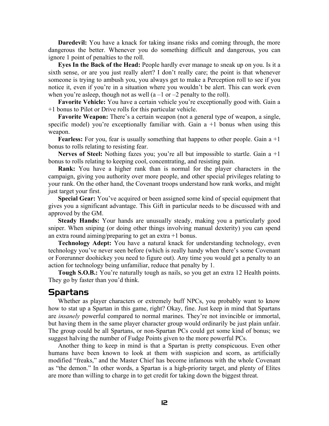**Daredevil:** You have a knack for taking insane risks and coming through, the more dangerous the better. Whenever you do something difficult and dangerous, you can ignore 1 point of penalties to the roll.

**Eyes In the Back of the Head:** People hardly ever manage to sneak up on you. Is it a sixth sense, or are you just really alert? I don't really care; the point is that whenever someone is trying to ambush you, you always get to make a Perception roll to see if you notice it, even if you're in a situation where you wouldn't be alert. This can work even when you're asleep, though not as well  $(a - 1 \text{ or } -2 \text{ penalty to the roll})$ .

**Favorite Vehicle:** You have a certain vehicle you're exceptionally good with. Gain a +1 bonus to Pilot or Drive rolls for this particular vehicle.

**Favorite Weapon:** There's a certain weapon (not a general type of weapon, a single, specific model) you're exceptionally familiar with. Gain  $a + 1$  bonus when using this weapon.

**Fearless:** For you, fear is usually something that happens to other people. Gain a +1 bonus to rolls relating to resisting fear.

**Nerves of Steel:** Nothing fazes you; you're all but impossible to startle. Gain a +1 bonus to rolls relating to keeping cool, concentrating, and resisting pain.

**Rank:** You have a higher rank than is normal for the player characters in the campaign, giving you authority over more people, and other special privileges relating to your rank. On the other hand, the Covenant troops understand how rank works, and might just target your first.

**Special Gear:** You've acquired or been assigned some kind of special equipment that gives you a significant advantage. This Gift in particular needs to be discussed with and approved by the GM.

**Steady Hands:** Your hands are unusually steady, making you a particularly good sniper. When sniping (or doing other things involving manual dexterity) you can spend an extra round aiming/preparing to get an extra +1 bonus.

**Technology Adept:** You have a natural knack for understanding technology, even technology you've never seen before (which is really handy when there's some Covenant or Forerunner doohickey you need to figure out). Any time you would get a penalty to an action for technology being unfamiliar, reduce that penalty by 1.

**Tough S.O.B.:** You're naturally tough as nails, so you get an extra 12 Health points. They go by faster than you'd think.

#### <span id="page-11-0"></span>Spartans

Whether as player characters or extremely buff NPCs, you probably want to know how to stat up a Spartan in this game, right? Okay, fine. Just keep in mind that Spartans are *insanely* powerful compared to normal marines. They're not invincible or immortal, but having them in the same player character group would ordinarily be just plain unfair. The group could be all Spartans, or non-Spartan PCs could get some kind of bonus; we suggest halving the number of Fudge Points given to the more powerful PCs.

Another thing to keep in mind is that a Spartan is pretty conspicuous. Even other humans have been known to look at them with suspicion and scorn, as artificially modified "freaks," and the Master Chief has become infamous with the whole Covenant as "the demon." In other words, a Spartan is a high-priority target, and plenty of Elites are more than willing to charge in to get credit for taking down the biggest threat.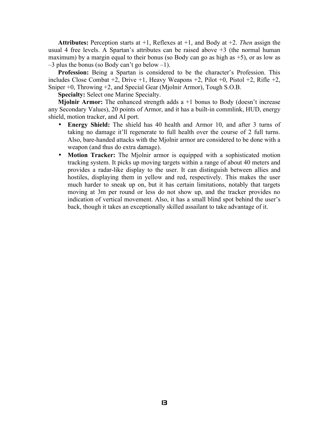**Attributes:** Perception starts at +1, Reflexes at +1, and Body at +2. *Then* assign the usual 4 free levels. A Spartan's attributes can be raised above +3 (the normal human maximum) by a margin equal to their bonus (so Body can go as high as  $+5$ ), or as low as  $-3$  plus the bonus (so Body can't go below  $-1$ ).

**Profession:** Being a Spartan is considered to be the character's Profession. This includes Close Combat  $+2$ , Drive  $+1$ , Heavy Weapons  $+2$ , Pilot  $+0$ , Pistol  $+2$ , Rifle  $+2$ , Sniper +0, Throwing +2, and Special Gear (Mjolnir Armor), Tough S.O.B.

**Specialty:** Select one Marine Specialty.

**Mjolnir Armor:** The enhanced strength adds a +1 bonus to Body (doesn't increase any Secondary Values), 20 points of Armor, and it has a built-in commlink, HUD, energy shield, motion tracker, and AI port.

- **Energy Shield:** The shield has 40 health and Armor 10, and after 3 turns of taking no damage it'll regenerate to full health over the course of 2 full turns. Also, bare-handed attacks with the Mjolnir armor are considered to be done with a weapon (and thus do extra damage).
- **Motion Tracker:** The Mjolnir armor is equipped with a sophisticated motion tracking system. It picks up moving targets within a range of about 40 meters and provides a radar-like display to the user. It can distinguish between allies and hostiles, displaying them in yellow and red, respectively. This makes the user much harder to sneak up on, but it has certain limitations, notably that targets moving at 3m per round or less do not show up, and the tracker provides no indication of vertical movement. Also, it has a small blind spot behind the user's back, though it takes an exceptionally skilled assailant to take advantage of it.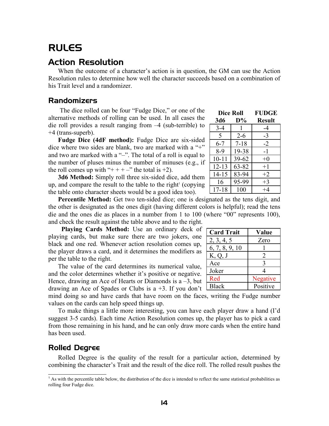# <span id="page-13-1"></span>RULES

## <span id="page-13-0"></span>Action Resolution

When the outcome of a character's action is in question, the GM can use the Action Resolution rules to determine how well the character succeeds based on a combination of his Trait level and a randomizer.

## Randomizers

The dice rolled can be four "Fudge Dice," or one of the alternative methods of rolling can be used. In all cases the die roll provides a result ranging from –4 (sub-terrible) to +4 (trans-superb).

**Fudge Dice (4dF method):** Fudge Dice are six-sided dice where two sides are blank, two are marked with a "+" and two are marked with a "-". The total of a roll is equal to the number of pluses minus the number of minuses (e.g., if the roll comes up with "+ + + –" the total is +2).

**3d6 Method:** Simply roll three six-sided dice, add them up, and compare the result to the table to the right $($  copying the table onto character sheets would be a good idea too).

**Percentile Method:** Get two ten-sided dice; one is designated as the tens digit, and the other is designated as the ones digit (having different colors is helpful); read the tens die and the ones die as places in a number from 1 to 100 (where "00" represents 100), and check the result against the table above and to the right.

**Playing Cards Method:** Use an ordinary deck of playing cards, but make sure there are two jokers, one black and one red. Whenever action resolution comes up, the player draws a card, and it determines the modifiers as per the table to the right.

The value of the card determines its numerical value, and the color determines whether it's positive or negative. Hence, drawing an Ace of Hearts or Diamonds is  $a - 3$ , but drawing an Ace of Spades or Clubs is a  $+3$ . If you don't  $\Box$ 

mind doing so and have cards that have room on the faces, writing the Fudge number values on the cards can help speed things up.

To make things a little more interesting, you can have each player draw a hand (I'd suggest 3-5 cards). Each time Action Resolution comes up, the player has to pick a card from those remaining in his hand, and he can only draw more cards when the entire hand has been used.

#### Rolled Degree

Rolled Degree is the quality of the result for a particular action, determined by combining the character's Trait and the result of the dice roll. The rolled result pushes the

| <b>Dice Roll</b> |           | <b>FUDGE</b>  |
|------------------|-----------|---------------|
| 3d6              | $D\%$     | <b>Result</b> |
| $3-4$            | 1         | -4            |
| 5                | $2 - 6$   | -3            |
| $6 - 7$          | $7 - 18$  | $-2$          |
| 8-9              | 19-38     | -1            |
| $10 - 11$        | $39 - 62$ | $+0$          |
| $12 - 13$        | 63-82     | $+1$          |
| $14 - 15$        | 83-94     | $+2$          |
| 16               | 95-99     | $+3$          |
| $17 - 18$        | 100       | $+4$          |

| <b>Card Trait</b> | Value    |
|-------------------|----------|
| 2, 3, 4, 5        | Zero     |
| 6, 7, 8, 9, 10    |          |
| K, Q, J           | 2        |
| Ace               | 3        |
| Joker             |          |
| Red               | Negative |
| <b>Black</b>      | Positive |

<span id="page-13-2"></span><sup>&</sup>lt;sup>1</sup> As with the percentile table below, the distribution of the dice is intended to reflect the same statistical probabilities as rolling four Fudge dice.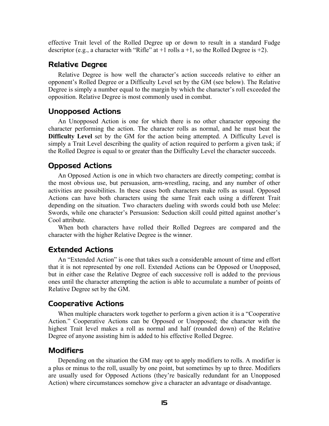effective Trait level of the Rolled Degree up or down to result in a standard Fudge descriptor (e.g., a character with "Rifle" at  $+1$  rolls a  $+1$ , so the Rolled Degree is  $+2$ ).

#### Relative Degree

Relative Degree is how well the character's action succeeds relative to either an opponent's Rolled Degree or a Difficulty Level set by the GM (see below). The Relative Degree is simply a number equal to the margin by which the character's roll exceeded the opposition. Relative Degree is most commonly used in combat.

#### Unopposed Actions

An Unopposed Action is one for which there is no other character opposing the character performing the action. The character rolls as normal, and he must beat the **Difficulty Level** set by the GM for the action being attempted. A Difficulty Level is simply a Trait Level describing the quality of action required to perform a given task; if the Rolled Degree is equal to or greater than the Difficulty Level the character succeeds.

#### Opposed Actions

An Opposed Action is one in which two characters are directly competing; combat is the most obvious use, but persuasion, arm-wrestling, racing, and any number of other activities are possibilities. In these cases both characters make rolls as usual. Opposed Actions can have both characters using the same Trait each using a different Trait depending on the situation. Two characters dueling with swords could both use Melee: Swords, while one character's Persuasion: Seduction skill could pitted against another's Cool attribute.

When both characters have rolled their Rolled Degrees are compared and the character with the higher Relative Degree is the winner.

#### Extended Actions

An "Extended Action" is one that takes such a considerable amount of time and effort that it is not represented by one roll. Extended Actions can be Opposed or Unopposed, but in either case the Relative Degree of each successive roll is added to the previous ones until the character attempting the action is able to accumulate a number of points of Relative Degree set by the GM.

#### Cooperative Actions

When multiple characters work together to perform a given action it is a "Cooperative Action." Cooperative Actions can be Opposed or Unopposed; the character with the highest Trait level makes a roll as normal and half (rounded down) of the Relative Degree of anyone assisting him is added to his effective Rolled Degree.

#### Modifiers

Depending on the situation the GM may opt to apply modifiers to rolls. A modifier is a plus or minus to the roll, usually by one point, but sometimes by up to three. Modifiers are usually used for Opposed Actions (they're basically redundant for an Unopposed Action) where circumstances somehow give a character an advantage or disadvantage.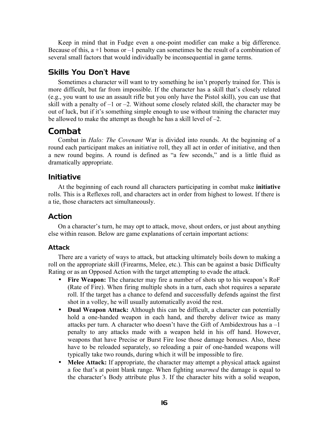Keep in mind that in Fudge even a one-point modifier can make a big difference. Because of this,  $a + 1$  bonus or  $-1$  penalty can sometimes be the result of a combination of several small factors that would individually be inconsequential in game terms.

## Skills You Don't Have

Sometimes a character will want to try something he isn't properly trained for. This is more difficult, but far from impossible. If the character has a skill that's closely related (e.g., you want to use an assault rifle but you only have the Pistol skill), you can use that skill with a penalty of  $-1$  or  $-2$ . Without some closely related skill, the character may be out of luck, but if it's something simple enough to use without training the character may be allowed to make the attempt as though he has a skill level of –2.

## <span id="page-15-0"></span>Combat

Combat in *Halo: The Covenant* War is divided into rounds. At the beginning of a round each participant makes an initiative roll, they all act in order of initiative, and then a new round begins. A round is defined as "a few seconds," and is a little fluid as dramatically appropriate.

## Initiative

At the beginning of each round all characters participating in combat make **initiative** rolls. This is a Reflexes roll, and characters act in order from highest to lowest. If there is a tie, those characters act simultaneously.

## Action

On a character's turn, he may opt to attack, move, shout orders, or just about anything else within reason. Below are game explanations of certain important actions:

#### Attack

There are a variety of ways to attack, but attacking ultimately boils down to making a roll on the appropriate skill (Firearms, Melee, etc.). This can be against a basic Difficulty Rating or as an Opposed Action with the target attempting to evade the attack.

- **Fire Weapon:** The character may fire a number of shots up to his weapon's RoF (Rate of Fire). When firing multiple shots in a turn, each shot requires a separate roll. If the target has a chance to defend and successfully defends against the first shot in a volley, he will usually automatically avoid the rest.
- **Dual Weapon Attack:** Although this can be difficult, a character can potentially hold a one-handed weapon in each hand, and thereby deliver twice as many attacks per turn. A character who doesn't have the Gift of Ambidextrous has a –1 penalty to any attacks made with a weapon held in his off hand. However, weapons that have Precise or Burst Fire lose those damage bonuses. Also, these have to be reloaded separately, so reloading a pair of one-handed weapons will typically take two rounds, during which it will be impossible to fire.
- **Melee Attack:** If appropriate, the character may attempt a physical attack against a foe that's at point blank range. When fighting *unarmed* the damage is equal to the character's Body attribute plus 3. If the character hits with a solid weapon,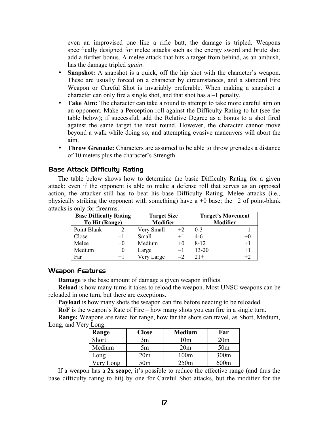even an improvised one like a rifle butt, the damage is tripled. Weapons specifically designed for melee attacks such as the energy sword and brute shot add a further bonus. A melee attack that hits a target from behind, as an ambush, has the damage tripled *again*.

- **Snapshot:** A snapshot is a quick, off the hip shot with the character's weapon. These are usually forced on a character by circumstances, and a standard Fire Weapon or Careful Shot is invariably preferable. When making a snapshot a character can only fire a single shot, and that shot has a –1 penalty.
- **Take Aim:** The character can take a round to attempt to take more careful aim on an opponent. Make a Perception roll against the Difficulty Rating to hit (see the table below); if successful, add the Relative Degree as a bonus to a shot fired against the same target the next round. However, the character cannot move beyond a walk while doing so, and attempting evasive maneuvers will abort the aim.
- **Throw Grenade:** Characters are assumed to be able to throw grenades a distance of 10 meters plus the character's Strength.

#### Base Attack Difficulty Rating

The table below shows how to determine the basic Difficulty Rating for a given attack; even if the opponent is able to make a defense roll that serves as an opposed action, the attacker still has to beat his base Difficulty Rating. Melee attacks (i.e., physically striking the opponent with something) have a  $+0$  base; the  $-2$  of point-blank attacks is only for firearms.

| <b>Base Difficulty Rating</b> |      | <b>Target Size</b> |      | <b>Target's Movement</b> |                 |  |
|-------------------------------|------|--------------------|------|--------------------------|-----------------|--|
| To Hit (Range)                |      | <b>Modifier</b>    |      |                          | <b>Modifier</b> |  |
| Point Blank                   | $-2$ | Very Small         | $+2$ | $0 - 3$                  | $-1$            |  |
| Close                         | $-1$ | Small              | $+1$ | $4-6$                    | $+0$            |  |
| Melee                         | $+0$ | Medium             | $+0$ | $8 - 12$                 | $+1$            |  |
| Medium                        | $+0$ | Large              | $-1$ | $13 - 20$                | $+1$            |  |
| Far                           | $+1$ | Very Large         | $-2$ | $21+$                    | $+2$            |  |

#### Weapon Features

**Damage** is the base amount of damage a given weapon inflicts.

**Reload** is how many turns it takes to reload the weapon. Most UNSC weapons can be reloaded in one turn, but there are exceptions.

**Payload** is how many shots the weapon can fire before needing to be reloaded.

**RoF** is the weapon's Rate of Fire – how many shots you can fire in a single turn.

**Range:** Weapons are rated for range, how far the shots can travel, as Short, Medium, Long, and Very Long.

| Range         | <b>Close</b>    | <b>Medium</b> | Far             |
|---------------|-----------------|---------------|-----------------|
| Short         | 3m              | 10m           | 20m             |
| Medium        | 5m              | 20m           | 50 <sub>m</sub> |
| $\text{Long}$ | 20 <sub>m</sub> | 100m          | 300m            |
| Very Long     | 50 <sub>m</sub> | 250m          | 600m            |

If a weapon has a **2x scope**, it's possible to reduce the effective range (and thus the base difficulty rating to hit) by one for Careful Shot attacks, but the modifier for the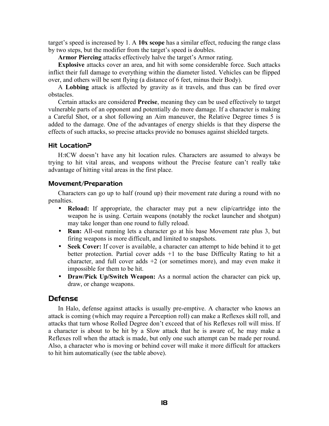target's speed is increased by 1. A **10x scope** has a similar effect, reducing the range class by two steps, but the modifier from the target's speed is doubles.

**Armor Piercing** attacks effectively halve the target's Armor rating.

**Explosive** attacks cover an area, and hit with some considerable force. Such attacks inflict their full damage to everything within the diameter listed. Vehicles can be flipped over, and others will be sent flying (a distance of 6 feet, minus their Body).

A **Lobbing** attack is affected by gravity as it travels, and thus can be fired over obstacles.

Certain attacks are considered **Precise**, meaning they can be used effectively to target vulnerable parts of an opponent and potentially do more damage. If a character is making a Careful Shot, or a shot following an Aim maneuver, the Relative Degree times 5 is added to the damage. One of the advantages of energy shields is that they disperse the effects of such attacks, so precise attacks provide no bonuses against shielded targets.

#### Hit Location?

H:tCW doesn't have any hit location rules. Characters are assumed to always be trying to hit vital areas, and weapons without the Precise feature can't really take advantage of hitting vital areas in the first place.

#### Movement/Preparation

Characters can go up to half (round up) their movement rate during a round with no penalties.

- **Reload:** If appropriate, the character may put a new clip/cartridge into the weapon he is using. Certain weapons (notably the rocket launcher and shotgun) may take longer than one round to fully reload.
- **Run:** All-out running lets a character go at his base Movement rate plus 3, but firing weapons is more difficult, and limited to snapshots.
- **Seek Cover:** If cover is available, a character can attempt to hide behind it to get better protection. Partial cover adds +1 to the base Difficulty Rating to hit a character, and full cover adds  $+2$  (or sometimes more), and may even make it impossible for them to be hit.
- **Draw/Pick Up/Switch Weapon:** As a normal action the character can pick up, draw, or change weapons.

#### Defense

In Halo, defense against attacks is usually pre-emptive. A character who knows an attack is coming (which may require a Perception roll) can make a Reflexes skill roll, and attacks that turn whose Rolled Degree don't exceed that of his Reflexes roll will miss. If a character is about to be hit by a Slow attack that he is aware of, he may make a Reflexes roll when the attack is made, but only one such attempt can be made per round. Also, a character who is moving or behind cover will make it more difficult for attackers to hit him automatically (see the table above).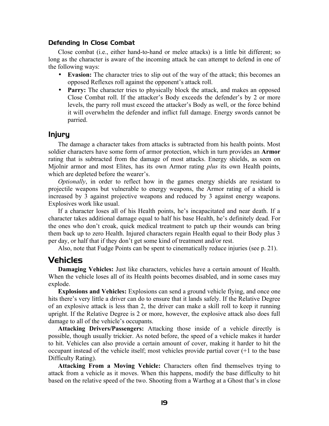#### Defending In Close Combat

Close combat (i.e., either hand-to-hand or melee attacks) is a little bit different; so long as the character is aware of the incoming attack he can attempt to defend in one of the following ways:

- **Evasion:** The character tries to slip out of the way of the attack; this becomes an opposed Reflexes roll against the opponent's attack roll.
- **Parry:** The character tries to physically block the attack, and makes an opposed Close Combat roll. If the attacker's Body exceeds the defender's by 2 or more levels, the parry roll must exceed the attacker's Body as well, or the force behind it will overwhelm the defender and inflict full damage. Energy swords cannot be parried.

#### Injury

The damage a character takes from attacks is subtracted from his health points. Most soldier characters have some form of armor protection, which in turn provides an **Armor** rating that is subtracted from the damage of most attacks. Energy shields, as seen on Mjolnir armor and most Elites, has its own Armor rating *plus* its own Health points, which are depleted before the wearer's.

*Optionally*, in order to reflect how in the games energy shields are resistant to projectile weapons but vulnerable to energy weapons, the Armor rating of a shield is increased by 3 against projective weapons and reduced by 3 against energy weapons. Explosives work like usual.

If a character loses all of his Health points, he's incapacitated and near death. If a character takes additional damage equal to half his base Health, he's definitely dead. For the ones who don't croak, quick medical treatment to patch up their wounds can bring them back up to zero Health. Injured characters regain Health equal to their Body plus 3 per day, or half that if they don't get some kind of treatment and/or rest.

Also, note that Fudge Points can be spent to cinematically reduce injuries (see p. [21\)](#page-20-0).

## <span id="page-18-0"></span>Vehicles

**Damaging Vehicles:** Just like characters, vehicles have a certain amount of Health. When the vehicle loses all of its Health points becomes disabled, and in some cases may explode.

**Explosions and Vehicles:** Explosions can send a ground vehicle flying, and once one hits there's very little a driver can do to ensure that it lands safely. If the Relative Degree of an explosive attack is less than 2, the driver can make a skill roll to keep it running upright. If the Relative Degree is 2 or more, however, the explosive attack also does full damage to all of the vehicle's occupants.

**Attacking Drivers/Passengers:** Attacking those inside of a vehicle directly is possible, though usually trickier. As noted before, the speed of a vehicle makes it harder to hit. Vehicles can also provide a certain amount of cover, making it harder to hit the occupant instead of the vehicle itself; most vehicles provide partial cover (+1 to the base Difficulty Rating).

**Attacking From a Moving Vehicle:** Characters often find themselves trying to attack from a vehicle as it moves. When this happens, modify the base difficulty to hit based on the relative speed of the two. Shooting from a Warthog at a Ghost that's in close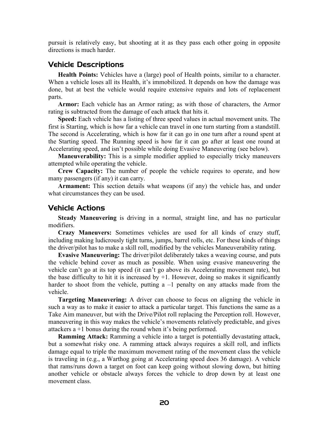pursuit is relatively easy, but shooting at it as they pass each other going in opposite directions is much harder.

#### Vehicle Descriptions

**Health Points:** Vehicles have a (large) pool of Health points, similar to a character. When a vehicle loses all its Health, it's immobilized. It depends on how the damage was done, but at best the vehicle would require extensive repairs and lots of replacement parts.

**Armor:** Each vehicle has an Armor rating; as with those of characters, the Armor rating is subtracted from the damage of each attack that hits it.

**Speed:** Each vehicle has a listing of three speed values in actual movement units. The first is Starting, which is how far a vehicle can travel in one turn starting from a standstill. The second is Accelerating, which is how far it can go in one turn after a round spent at the Starting speed. The Running speed is how far it can go after at least one round at Accelerating speed, and isn't possible while doing Evasive Maneuvering (see below).

**Maneuverability:** This is a simple modifier applied to especially tricky maneuvers attempted while operating the vehicle.

**Crew Capacity:** The number of people the vehicle requires to operate, and how many passengers (if any) it can carry.

**Armament:** This section details what weapons (if any) the vehicle has, and under what circumstances they can be used.

#### Vehicle Actions

**Steady Maneuvering** is driving in a normal, straight line, and has no particular modifiers.

**Crazy Maneuvers:** Sometimes vehicles are used for all kinds of crazy stuff, including making ludicrously tight turns, jumps, barrel rolls, etc. For these kinds of things the driver/pilot has to make a skill roll, modified by the vehicles Maneuverability rating.

**Evasive Maneuvering:** The driver/pilot deliberately takes a weaving course, and puts the vehicle behind cover as much as possible. When using evasive maneuvering the vehicle can't go at its top speed (it can't go above its Accelerating movement rate), but the base difficulty to hit it is increased by  $+1$ . However, doing so makes it significantly harder to shoot from the vehicle, putting  $a -1$  penalty on any attacks made from the vehicle.

**Targeting Maneuvering:** A driver can choose to focus on aligning the vehicle in such a way as to make it easier to attack a particular target. This functions the same as a Take Aim maneuver, but with the Drive/Pilot roll replacing the Perception roll. However, maneuvering in this way makes the vehicle's movements relatively predictable, and gives attackers a +1 bonus during the round when it's being performed.

**Ramming Attack:** Ramming a vehicle into a target is potentially devastating attack, but a somewhat risky one. A ramming attack always requires a skill roll, and inflicts damage equal to triple the maximum movement rating of the movement class the vehicle is traveling in (e.g., a Warthog going at Accelerating speed does 36 damage). A vehicle that rams/runs down a target on foot can keep going without slowing down, but hitting another vehicle or obstacle always forces the vehicle to drop down by at least one movement class.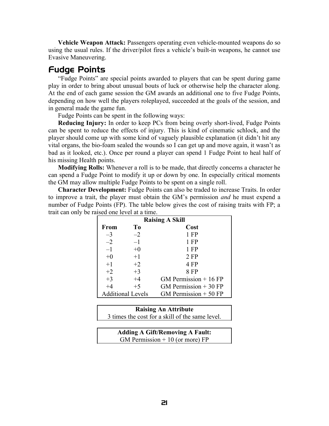**Vehicle Weapon Attack:** Passengers operating even vehicle-mounted weapons do so using the usual rules. If the driver/pilot fires a vehicle's built-in weapons, he cannot use Evasive Maneuvering.

## <span id="page-20-0"></span>Fudge Points

"Fudge Points" are special points awarded to players that can be spent during game play in order to bring about unusual bouts of luck or otherwise help the character along. At the end of each game session the GM awards an additional one to five Fudge Points, depending on how well the players roleplayed, succeeded at the goals of the session, and in general made the game fun.

Fudge Points can be spent in the following ways:

**Reducing Injury:** In order to keep PCs from being overly short-lived, Fudge Points can be spent to reduce the effects of injury. This is kind of cinematic schlock, and the player should come up with some kind of vaguely plausible explanation (it didn't hit any vital organs, the bio-foam sealed the wounds so I can get up and move again, it wasn't as bad as it looked, etc.). Once per round a player can spend 1 Fudge Point to heal half of his missing Health points.

**Modifying Rolls:** Whenever a roll is to be made, that directly concerns a character he can spend a Fudge Point to modify it up or down by one. In especially critical moments the GM may allow multiple Fudge Points to be spent on a single roll.

**Character Development:** Fudge Points can also be traded to increase Traits. In order to improve a trait, the player must obtain the GM's permission *and* he must expend a number of Fudge Points (FP). The table below gives the cost of raising traits with FP; a trait can only be raised one level at a time.

| <b>Raising A Skill</b>                             |      |                        |  |
|----------------------------------------------------|------|------------------------|--|
| <b>From</b>                                        | To   | Cost                   |  |
| $-3$                                               | $-2$ | $1$ FP                 |  |
| $-2$                                               | $-1$ | $1$ FP                 |  |
| $-1$                                               | $+0$ | $1$ FP                 |  |
| $+0$                                               | $+1$ | $2$ FP                 |  |
| $+1$                                               | $+2$ | 4 FP                   |  |
| $+2$                                               | $+3$ | 8 FP                   |  |
| $+3$                                               | $+4$ | GM Permission $+16$ FP |  |
| $+4$                                               | $+5$ | GM Permission $+30$ FP |  |
| GM Permission $+50$ FP<br><b>Additional Levels</b> |      |                        |  |

#### **Raising An Attribute**

3 times the cost for a skill of the same level.

| <b>Adding A Gift/Removing A Fault:</b> |  |
|----------------------------------------|--|
| GM Permission $+10$ (or more) FP       |  |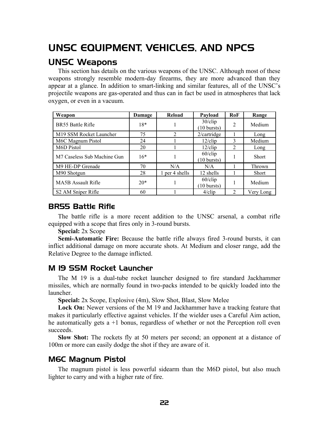# <span id="page-21-1"></span>UNSC EQUIPMENT, VEHICLES, AND NPCS

## <span id="page-21-0"></span>UNSC Weapons

This section has details on the various weapons of the UNSC. Although most of these weapons strongly resemble modern-day firearms, they are more advanced than they appear at a glance. In addition to smart-linking and similar features, all of the UNSC's projectile weapons are gas-operated and thus can in fact be used in atmospheres that lack oxygen, or even in a vacuum.

| Weapon                      | Damage | Reload         | Payload                             | RoF            | Range     |
|-----------------------------|--------|----------------|-------------------------------------|----------------|-----------|
| BR55 Battle Rifle           | $18*$  |                | $30$ /clip<br>$(10 \text{ bursts})$ | $\overline{2}$ | Medium    |
| M19 SSM Rocket Launcher     | 75     | $\overline{2}$ | 2/cartridge                         |                | Long      |
| M6C Magnum Pistol           | 24     |                | $12$ /clip                          | 3              | Medium    |
| M6D Pistol                  | 20     |                | $12$ /clip                          | 2              | Long      |
| M7 Caseless Sub Machine Gun | $16*$  |                | $60$ /clip<br>$(10 \text{ bursts})$ |                | Short     |
| M9 HE-DP Grenade            | 70     | N/A            | N/A                                 |                | Thrown    |
| M90 Shotgun                 | 28     | 1 per 4 shells | 12 shells                           |                | Short     |
| <b>MA5B Assault Rifle</b>   | $20*$  |                | $60$ /clip<br>$(10 \text{ bursts})$ |                | Medium    |
| S2 AM Sniper Rifle          | 60     |                | $4$ /clip                           | $\overline{2}$ | Very Long |

#### BR55 Battle Rifle

The battle rifle is a more recent addition to the UNSC arsenal, a combat rifle equipped with a scope that fires only in 3-round bursts.

**Special:** 2x Scope

**Semi-Automatic Fire:** Because the battle rifle always fired 3-round bursts, it can inflict additional damage on more accurate shots. At Medium and closer range, add the Relative Degree to the damage inflicted.

#### M 19 SSM Rocket Launcher

The M 19 is a dual-tube rocket launcher designed to fire standard Jackhammer missiles, which are normally found in two-packs intended to be quickly loaded into the launcher.

**Special:** 2x Scope, Explosive (4m), Slow Shot, Blast, Slow Melee

**Lock On:** Newer versions of the M 19 and Jackhammer have a tracking feature that makes it particularly effective against vehicles. If the wielder uses a Careful Aim action, he automatically gets  $a + 1$  bonus, regardless of whether or not the Perception roll even succeeds.

**Slow Shot:** The rockets fly at 50 meters per second; an opponent at a distance of 100m or more can easily dodge the shot if they are aware of it.

## M6C Magnum Pistol

The magnum pistol is less powerful sidearm than the M6D pistol, but also much lighter to carry and with a higher rate of fire.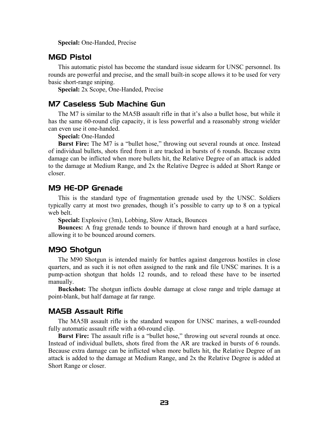**Special:** One-Handed, Precise

#### M6D Pistol

This automatic pistol has become the standard issue sidearm for UNSC personnel. Its rounds are powerful and precise, and the small built-in scope allows it to be used for very basic short-range sniping.

**Special:** 2x Scope, One-Handed, Precise

#### M7 Caseless Sub Machine Gun

The M7 is similar to the MA5B assault rifle in that it's also a bullet hose, but while it has the same 60-round clip capacity, it is less powerful and a reasonably strong wielder can even use it one-handed.

**Special:** One-Handed

**Burst Fire:** The M7 is a "bullet hose," throwing out several rounds at once. Instead of individual bullets, shots fired from it are tracked in bursts of 6 rounds. Because extra damage can be inflicted when more bullets hit, the Relative Degree of an attack is added to the damage at Medium Range, and 2x the Relative Degree is added at Short Range or closer.

#### M9 HE-DP Grenade

This is the standard type of fragmentation grenade used by the UNSC. Soldiers typically carry at most two grenades, though it's possible to carry up to 8 on a typical web belt.

**Special:** Explosive (3m), Lobbing, Slow Attack, Bounces

**Bounces:** A frag grenade tends to bounce if thrown hard enough at a hard surface, allowing it to be bounced around corners.

## M90 Shotgun

The M90 Shotgun is intended mainly for battles against dangerous hostiles in close quarters, and as such it is not often assigned to the rank and file UNSC marines. It is a pump-action shotgun that holds 12 rounds, and to reload these have to be inserted manually.

**Buckshot:** The shotgun inflicts double damage at close range and triple damage at point-blank, but half damage at far range.

#### MA5B Assault Rifle

The MA5B assault rifle is the standard weapon for UNSC marines, a well-rounded fully automatic assault rifle with a 60-round clip.

**Burst Fire:** The assault rifle is a "bullet hose," throwing out several rounds at once. Instead of individual bullets, shots fired from the AR are tracked in bursts of 6 rounds. Because extra damage can be inflicted when more bullets hit, the Relative Degree of an attack is added to the damage at Medium Range, and 2x the Relative Degree is added at Short Range or closer.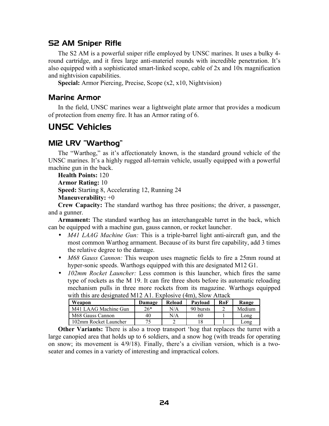## S2 AM Sniper Rifle

The S2 AM is a powerful sniper rifle employed by UNSC marines. It uses a bulky 4 round cartridge, and it fires large anti-materiel rounds with incredible penetration. It's also equipped with a sophisticated smart-linked scope, cable of 2x and 10x magnification and nightvision capabilities.

**Special:** Armor Piercing, Precise, Scope (x2, x10, Nightvision)

### Marine Armor

In the field, UNSC marines wear a lightweight plate armor that provides a modicum of protection from enemy fire. It has an Armor rating of 6.

# <span id="page-23-0"></span>UNSC Vehicles

## M12 LRV "Warthog"

The "Warthog," as it's affectionately known, is the standard ground vehicle of the UNSC marines. It's a highly rugged all-terrain vehicle, usually equipped with a powerful machine gun in the back.

**Health Points:** 120 **Armor Rating:** 10

**Speed:** Starting 8, Accelerating 12, Running 24

**Maneuverability:** +0

**Crew Capacity:** The standard warthog has three positions; the driver, a passenger, and a gunner.

**Armament:** The standard warthog has an interchangeable turret in the back, which can be equipped with a machine gun, gauss cannon, or rocket launcher.

- *M41 LAAG Machine Gun:* This is a triple-barrel light anti-aircraft gun, and the most common Warthog armament. Because of its burst fire capability, add 3 times the relative degree to the damage.
- *M68 Gauss Cannon:* This weapon uses magnetic fields to fire a 25mm round at hyper-sonic speeds. Warthogs equipped with this are designated M12 G1.
- *102mm Rocket Launcher:* Less common is this launcher, which fires the same type of rockets as the M 19. It can fire three shots before its automatic reloading mechanism pulls in three more rockets from its magazine. Warthogs equipped with this are designated M12 A1. Explosive (4m), Slow Attack

| Weapon                |        | Reload |           | RoF | Range  |
|-----------------------|--------|--------|-----------|-----|--------|
|                       | Damage |        | Payload   |     |        |
| M41 LAAG Machine Gun  | $26*$  | N/A    | 90 bursts |     | Medium |
| M68 Gauss Cannon      | 40     | N/A    | 60        |     | Long   |
| 102mm Rocket Launcher |        |        |           |     | Long   |

**Other Variants:** There is also a troop transport 'hog that replaces the turret with a large canopied area that holds up to 6 soldiers, and a snow hog (with treads for operating on snow; its movement is 4/9/18). Finally, there's a civilian version, which is a twoseater and comes in a variety of interesting and impractical colors.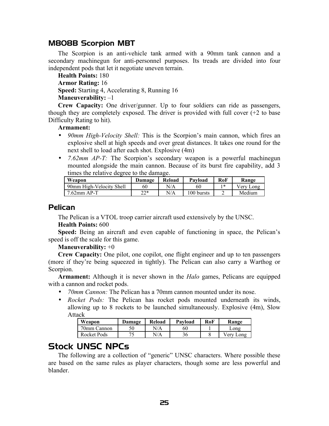## M808B Scorpion MBT

The Scorpion is an anti-vehicle tank armed with a 90mm tank cannon and a secondary machinegun for anti-personnel purposes. Its treads are divided into four independent pods that let it negotiate uneven terrain.

**Health Points:** 180 **Armor Rating:** 16 **Speed:** Starting 4, Accelerating 8, Running 16 **Maneuverability:** –1

**Crew Capacity:** One driver/gunner. Up to four soldiers can ride as passengers, though they are completely exposed. The driver is provided with full cover  $(+2)$  to base Difficulty Rating to hit).

#### **Armament:**

- *90mm High-Velocity Shell:* This is the Scorpion's main cannon, which fires an explosive shell at high speeds and over great distances. It takes one round for the next shell to load after each shot. Explosive (4m)
- *7.62mm AP-T:* The Scorpion's secondary weapon is a powerful machinegun mounted alongside the main cannon. Because of its burst fire capability, add 3 times the relative degree to the damage.

| Weapon                   | Damage    | Reload | Payload    | RoF | Range     |
|--------------------------|-----------|--------|------------|-----|-----------|
| 90mm High-Velocity Shell | 60        | N/A    | 60         | *   | Verv Long |
| $7.62$ mm AP-T           | つつ*<br>∠∠ | N/A    | 100 bursts |     | Medium    |

#### **Pelican**

The Pelican is a VTOL troop carrier aircraft used extensively by the UNSC.

#### **Health Points:** 600

**Speed:** Being an aircraft and even capable of functioning in space, the Pelican's speed is off the scale for this game.

**Maneuverability:** +0

**Crew Capacity:** One pilot, one copilot, one flight engineer and up to ten passengers (more if they're being squeezed in tightly). The Pelican can also carry a Warthog or Scorpion.

**Armament:** Although it is never shown in the *Halo* games, Pelicans are equipped with a cannon and rocket pods.

- *70mm Cannon:* The Pelican has a 70mm cannon mounted under its nose.
- *Rocket Pods:* The Pelican has rocket pods mounted underneath its winds, allowing up to 8 rockets to be launched simultaneously. Explosive (4m), Slow Attack

| Weapon      | <b>Damage</b> | Reload | Pavload | RoF | Range        |
|-------------|---------------|--------|---------|-----|--------------|
| 70mm Cannon |               | N/A    | 60      |     | Long         |
| Rocket Pods |               | N/A    |         |     | /erv<br>Long |

## <span id="page-24-0"></span>Stock UNSC NPCs

The following are a collection of "generic" UNSC characters. Where possible these are based on the same rules as player characters, though some are less powerful and blander.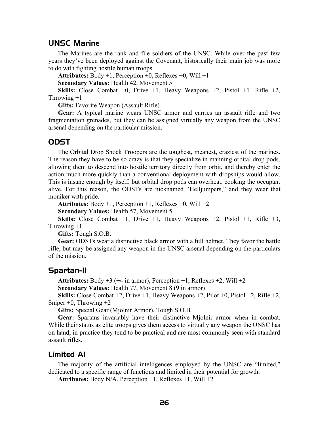#### UNSC Marine

The Marines are the rank and file soldiers of the UNSC. While over the past few years they've been deployed against the Covenant, historically their main job was more to do with fighting hostile human troops.

**Attributes:** Body +1, Perception +0, Reflexes +0, Will +1

**Secondary Values:** Health 42, Movement 5

**Skills:** Close Combat  $+0$ , Drive  $+1$ , Heavy Weapons  $+2$ , Pistol  $+1$ , Rifle  $+2$ , Throwing  $+1$ 

**Gifts:** Favorite Weapon (Assault Rifle)

**Gear:** A typical marine wears UNSC armor and carries an assault rifle and two fragmentation grenades, but they can be assigned virtually any weapon from the UNSC arsenal depending on the particular mission.

#### **ODST**

The Orbital Drop Shock Troopers are the toughest, meanest, craziest of the marines. The reason they have to be so crazy is that they specialize in manning orbital drop pods, allowing them to descend into hostile territory directly from orbit, and thereby enter the action much more quickly than a conventional deployment with dropships would allow. This is insane enough by itself, but orbital drop pods can overheat, cooking the occupant alive. For this reason, the ODSTs are nicknamed "Helljumpers," and they wear that moniker with pride.

**Attributes:** Body  $+1$ , Perception  $+1$ , Reflexes  $+0$ , Will  $+2$ 

**Secondary Values:** Health 57, Movement 5

**Skills:** Close Combat +1, Drive +1, Heavy Weapons +2, Pistol +1, Rifle +3, Throwing  $+1$ 

**Gifts:** Tough S.O.B.

**Gear:** ODSTs wear a distinctive black armor with a full helmet. They favor the battle rifle, but may be assigned any weapon in the UNSC arsenal depending on the particulars of the mission.

#### Spartan-II

**Attributes:** Body  $+3$  ( $+4$  in armor), Perception  $+1$ , Reflexes  $+2$ , Will  $+2$ 

**Secondary Values:** Health 77, Movement 8 (9 in armor)

**Skills:** Close Combat +2, Drive +1, Heavy Weapons +2, Pilot +0, Pistol +2, Rifle +2, Sniper  $+0$ , Throwing  $+2$ 

**Gifts:** Special Gear (Mjolnir Armor), Tough S.O.B.

**Gear:** Spartans invariably have their distinctive Mjolnir armor when in combat. While their status as elite troops gives them access to virtually any weapon the UNSC has on hand, in practice they tend to be practical and are most commonly seen with standard assault rifles.

#### Limited AI

The majority of the artificial intelligences employed by the UNSC are "limited," dedicated to a specific range of functions and limited in their potential for growth.

**Attributes:** Body N/A, Perception +1, Reflexes +1, Will +2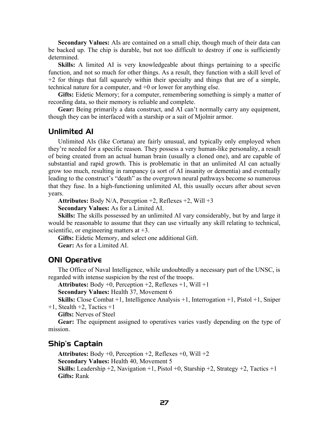**Secondary Values:** AIs are contained on a small chip, though much of their data can be backed up. The chip is durable, but not too difficult to destroy if one is sufficiently determined.

**Skills:** A limited AI is very knowledgeable about things pertaining to a specific function, and not so much for other things. As a result, they function with a skill level of +2 for things that fall squarely within their specialty and things that are of a simple, technical nature for a computer, and +0 or lower for anything else.

**Gifts:** Eidetic Memory; for a computer, remembering something is simply a matter of recording data, so their memory is reliable and complete.

**Gear:** Being primarily a data construct, and AI can't normally carry any equipment, though they can be interfaced with a starship or a suit of Mjolnir armor.

#### Unlimited AI

Unlimited AIs (like Cortana) are fairly unusual, and typically only employed when they're needed for a specific reason. They possess a very human-like personality, a result of being created from an actual human brain (usually a cloned one), and are capable of substantial and rapid growth. This is problematic in that an unlimited AI can actually grow too much, resulting in rampancy (a sort of AI insanity or dementia) and eventually leading to the construct's "death" as the overgrown neural pathways become so numerous that they fuse. In a high-functioning unlimited AI, this usually occurs after about seven years.

**Attributes:** Body N/A, Perception +2, Reflexes +2, Will +3

**Secondary Values:** As for a Limited AI.

**Skills:** The skills possessed by an unlimited AI vary considerably, but by and large it would be reasonable to assume that they can use virtually any skill relating to technical, scientific, or engineering matters at  $+3$ .

**Gifts:** Eidetic Memory, and select one additional Gift. **Gear:** As for a Limited AI.

#### ONI Operative

The Office of Naval Intelligence, while undoubtedly a necessary part of the UNSC, is regarded with intense suspicion by the rest of the troops.

**Attributes:** Body +0, Perception +2, Reflexes +1, Will +1

**Secondary Values:** Health 37, Movement 6

**Skills:** Close Combat +1, Intelligence Analysis +1, Interrogation +1, Pistol +1, Sniper  $+1$ , Stealth  $+2$ , Tactics  $+1$ 

**Gifts:** Nerves of Steel

**Gear:** The equipment assigned to operatives varies vastly depending on the type of mission.

#### Ship's Captain

**Attributes:** Body +0, Perception +2, Reflexes +0, Will +2 **Secondary Values:** Health 40, Movement 5 **Skills:** Leadership +2, Navigation +1, Pistol +0, Starship +2, Strategy +2, Tactics +1 **Gifts:** Rank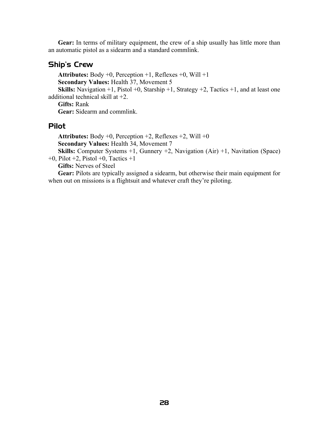**Gear:** In terms of military equipment, the crew of a ship usually has little more than an automatic pistol as a sidearm and a standard commlink.

### Ship's Crew

**Attributes:** Body +0, Perception +1, Reflexes +0, Will +1 **Secondary Values:** Health 37, Movement 5 **Skills:** Navigation +1, Pistol +0, Starship +1, Strategy +2, Tactics +1, and at least one additional technical skill at +2. **Gifts:** Rank

**Gear:** Sidearm and commlink.

#### Pilot

**Attributes:** Body +0, Perception +2, Reflexes +2, Will +0 **Secondary Values:** Health 34, Movement 7

**Skills:** Computer Systems +1, Gunnery +2, Navigation (Air) +1, Navitation (Space)  $+0$ , Pilot  $+2$ , Pistol  $+0$ , Tactics  $+1$ 

**Gifts:** Nerves of Steel

**Gear:** Pilots are typically assigned a sidearm, but otherwise their main equipment for when out on missions is a flightsuit and whatever craft they're piloting.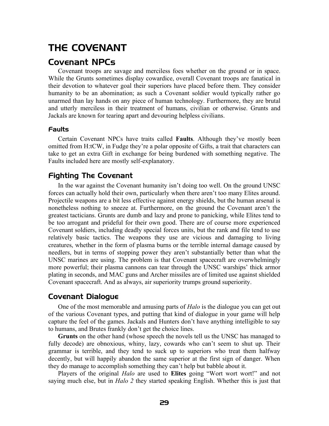# <span id="page-28-1"></span>THE COVENANT

## <span id="page-28-0"></span>Covenant NPCs

Covenant troops are savage and merciless foes whether on the ground or in space. While the Grunts sometimes display cowardice, overall Covenant troops are fanatical in their devotion to whatever goal their superiors have placed before them. They consider humanity to be an abomination; as such a Covenant soldier would typically rather go unarmed than lay hands on any piece of human technology. Furthermore, they are brutal and utterly merciless in their treatment of humans, civilian or otherwise. Grunts and Jackals are known for tearing apart and devouring helpless civilians.

#### Faults

Certain Covenant NPCs have traits called **Faults**. Although they've mostly been omitted from H:tCW, in Fudge they're a polar opposite of Gifts, a trait that characters can take to get an extra Gift in exchange for being burdened with something negative. The Faults included here are mostly self-explanatory.

## Fighting The Covenant

In the war against the Covenant humanity isn't doing too well. On the ground UNSC forces can actually hold their own, particularly when there aren't too many Elites around. Projectile weapons are a bit less effective against energy shields, but the human arsenal is nonetheless nothing to sneeze at. Furthermore, on the ground the Covenant aren't the greatest tacticians. Grunts are dumb and lazy and prone to panicking, while Elites tend to be too arrogant and prideful for their own good. There are of course more experienced Covenant soldiers, including deadly special forces units, but the rank and file tend to use relatively basic tactics. The weapons they use are vicious and damaging to living creatures, whether in the form of plasma burns or the terrible internal damage caused by needlers, but in terms of stopping power they aren't substantially better than what the UNSC marines are using. The problem is that Covenant spacecraft are overwhelmingly more powerful; their plasma cannons can tear through the UNSC warships' thick armor plating in seconds, and MAC guns and Archer missiles are of limited use against shielded Covenant spacecraft. And as always, air superiority trumps ground superiority.

## Covenant Dialogue

One of the most memorable and amusing parts of *Halo* is the dialogue you can get out of the various Covenant types, and putting that kind of dialogue in your game will help capture the feel of the games. Jackals and Hunters don't have anything intelligible to say to humans, and Brutes frankly don't get the choice lines.

**Grunts** on the other hand (whose speech the novels tell us the UNSC has managed to fully decode) are obnoxious, whiny, lazy, cowards who can't seem to shut up. Their grammar is terrible, and they tend to suck up to superiors who treat them halfway decently, but will happily abandon the same superior at the first sign of danger. When they do manage to accomplish something they can't help but babble about it.

Players of the original *Halo* are used to **Elites** going "Wort wort wort!" and not saying much else, but in *Halo 2* they started speaking English. Whether this is just that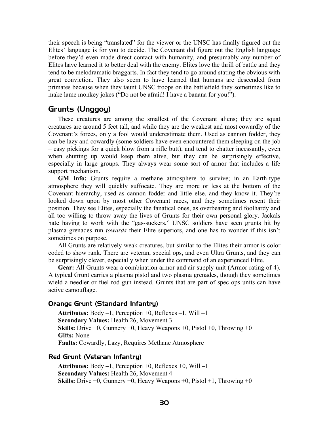their speech is being "translated" for the viewer or the UNSC has finally figured out the Elites' language is for you to decide. The Covenant did figure out the English language before they'd even made direct contact with humanity, and presumably any number of Elites have learned it to better deal with the enemy. Elites love the thrill of battle and they tend to be melodramatic braggarts. In fact they tend to go around stating the obvious with great conviction. They also seem to have learned that humans are descended from primates because when they taunt UNSC troops on the battlefield they sometimes like to make lame monkey jokes ("Do not be afraid! I have a banana for you!").

## Grunts (Unggoy)

These creatures are among the smallest of the Covenant aliens; they are squat creatures are around 5 feet tall, and while they are the weakest and most cowardly of the Covenant's forces, only a fool would underestimate them. Used as cannon fodder, they can be lazy and cowardly (some soldiers have even encountered them sleeping on the job – easy pickings for a quick blow from a rifle butt), and tend to chatter incessantly, even when shutting up would keep them alive, but they can be surprisingly effective, especially in large groups. They always wear some sort of armor that includes a life support mechanism.

**GM Info:** Grunts require a methane atmosphere to survive; in an Earth-type atmosphere they will quickly suffocate. They are more or less at the bottom of the Covenant hierarchy, used as cannon fodder and little else, and they know it. They're looked down upon by most other Covenant races, and they sometimes resent their position. They see Elites, especially the fanatical ones, as overbearing and foolhardy and all too willing to throw away the lives of Grunts for their own personal glory. Jackals hate having to work with the "gas-suckers." UNSC soldiers have seen grunts hit by plasma grenades run *towards* their Elite superiors, and one has to wonder if this isn't sometimes on purpose.

All Grunts are relatively weak creatures, but similar to the Elites their armor is color coded to show rank. There are veteran, special ops, and even Ultra Grunts, and they can be surprisingly clever, especially when under the command of an experienced Elite.

**Gear:** All Grunts wear a combination armor and air supply unit (Armor rating of 4). A typical Grunt carries a plasma pistol and two plasma grenades, though they sometimes wield a needler or fuel rod gun instead. Grunts that are part of spec ops units can have active camouflage.

#### Orange Grunt (Standard Infantry)

**Attributes:** Body –1, Perception +0, Reflexes –1, Will –1 **Secondary Values:** Health 26, Movement 3 **Skills:** Drive +0, Gunnery +0, Heavy Weapons +0, Pistol +0, Throwing +0 **Gifts:** None **Faults:** Cowardly, Lazy, Requires Methane Atmosphere

#### Red Grunt (Veteran Infantry)

**Attributes:** Body –1, Perception +0, Reflexes +0, Will –1 **Secondary Values:** Health 26, Movement 4 **Skills:** Drive +0, Gunnery +0, Heavy Weapons +0, Pistol +1, Throwing +0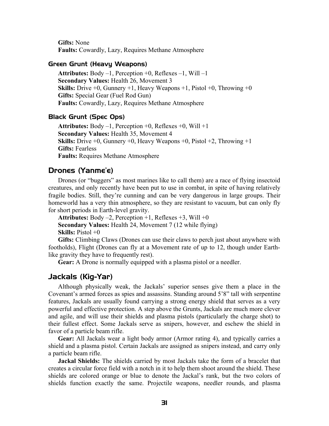**Gifts:** None **Faults:** Cowardly, Lazy, Requires Methane Atmosphere

#### Green Grunt (Heavy Weapons)

**Attributes:** Body –1, Perception +0, Reflexes –1, Will –1 **Secondary Values:** Health 26, Movement 3 **Skills:** Drive +0, Gunnery +1, Heavy Weapons +1, Pistol +0, Throwing +0 **Gifts:** Special Gear (Fuel Rod Gun) **Faults:** Cowardly, Lazy, Requires Methane Atmosphere

#### Black Grunt (Spec Ops)

**Attributes:** Body –1, Perception +0, Reflexes +0, Will +1 **Secondary Values:** Health 35, Movement 4 **Skills:** Drive +0, Gunnery +0, Heavy Weapons +0, Pistol +2, Throwing +1 **Gifts:** Fearless **Faults:** Requires Methane Atmosphere

#### Drones (Yanme'e)

Drones (or "buggers" as most marines like to call them) are a race of flying insectoid creatures, and only recently have been put to use in combat, in spite of having relatively fragile bodies. Still, they're cunning and can be very dangerous in large groups. Their homeworld has a very thin atmosphere, so they are resistant to vacuum, but can only fly for short periods in Earth-level gravity.

**Attributes:** Body –2, Perception +1, Reflexes +3, Will +0 **Secondary Values:** Health 24, Movement 7 (12 while flying) **Skills:** Pistol +0

**Gifts:** Climbing Claws (Drones can use their claws to perch just about anywhere with footholds), Flight (Drones can fly at a Movement rate of up to 12, though under Earthlike gravity they have to frequently rest).

**Gear:** A Drone is normally equipped with a plasma pistol or a needler.

#### Jackals (Kig-Yar)

Although physically weak, the Jackals' superior senses give them a place in the Covenant's armed forces as spies and assassins. Standing around 5'8" tall with serpentine features, Jackals are usually found carrying a strong energy shield that serves as a very powerful and effective protection. A step above the Grunts, Jackals are much more clever and agile, and will use their shields and plasma pistols (particularly the charge shot) to their fullest effect. Some Jackals serve as snipers, however, and eschew the shield in favor of a particle beam rifle.

**Gear:** All Jackals wear a light body armor (Armor rating 4), and typically carries a shield and a plasma pistol. Certain Jackals are assigned as snipers instead, and carry only a particle beam rifle.

**Jackal Shields:** The shields carried by most Jackals take the form of a bracelet that creates a circular force field with a notch in it to help them shoot around the shield. These shields are colored orange or blue to denote the Jackal's rank, but the two colors of shields function exactly the same. Projectile weapons, needler rounds, and plasma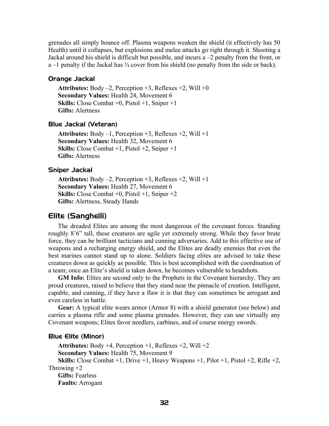grenades all simply bounce off. Plasma weapons weaken the shield (it effectively has 50 Health) until it collapses, but explosions and melee attacks go right through it. Shooting a Jackal around his shield is difficult but possible, and incurs a –2 penalty from the front, or  $a -1$  penalty if the Jackal has  $\frac{3}{4}$  cover from his shield (no penalty from the side or back).

#### Orange Jackal

**Attributes:** Body –2, Perception +3, Reflexes +2, Will +0 **Secondary Values:** Health 24, Movement 6 **Skills:** Close Combat +0, Pistol +1, Sniper +1 **Gifts:** Alertness

#### Blue Jackal (Veteran)

**Attributes:** Body –1, Perception +3, Reflexes +2, Will +1 **Secondary Values:** Health 32, Movement 6 **Skills:** Close Combat +1, Pistol +2, Sniper +1 **Gifts:** Alertness

#### Sniper Jackal

**Attributes:** Body –2, Perception +3, Reflexes +2, Will +1 **Secondary Values:** Health 27, Movement 6 **Skills:** Close Combat +0, Pistol +1, Sniper +2 **Gifts:** Alertness, Steady Hands

#### Elite (Sangheili)

The dreaded Elites are among the most dangerous of the covenant forces. Standing roughly 8'6" tall, these creatures are agile yet extremely strong. While they favor brute force, they can be brilliant tacticians and cunning adversaries. Add to this effective use of weapons and a recharging energy shield, and the Elites are deadly enemies that even the best marines cannot stand up to alone. Soldiers facing elites are advised to take these creatures down as quickly as possible. This is best accomplished with the coordination of a team; once an Elite's shield is taken down, he becomes vulnerable to headshots.

**GM Info:** Elites are second only to the Prophets in the Covenant hierarchy. They are proud creatures, raised to believe that they stand near the pinnacle of creation. Intelligent, capable, and cunning, if they have a flaw it is that they can sometimes be arrogant and even careless in battle.

**Gear:** A typical elite wears armor (Armor 8) with a shield generator (see below) and carries a plasma rifle and some plasma grenades. However, they can use virtually any Covenant weapons; Elites favor needlers, carbines, and of course energy swords.

#### Blue Elite (Minor)

**Attributes:** Body +4, Perception +1, Reflexes +2, Will +2 **Secondary Values:** Health 75, Movement 9 **Skills:** Close Combat +1, Drive +1, Heavy Weapons +1, Pilot +1, Pistol +2, Rifle +2, Throwing  $+2$ **Gifts:** Fearless **Faults:** Arrogant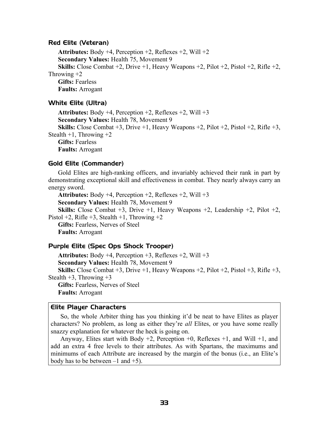#### Red Elite (Veteran)

**Attributes:** Body +4, Perception +2, Reflexes +2, Will +2 **Secondary Values:** Health 75, Movement 9 **Skills:** Close Combat  $+2$ , Drive  $+1$ , Heavy Weapons  $+2$ , Pilot  $+2$ , Pistol  $+2$ , Rifle  $+2$ , Throwing  $+2$ **Gifts:** Fearless **Faults:** Arrogant

#### White Elite (Ultra)

**Attributes:** Body +4, Perception +2, Reflexes +2, Will +3 **Secondary Values:** Health 78, Movement 9 **Skills:** Close Combat +3, Drive +1, Heavy Weapons +2, Pilot +2, Pistol +2, Rifle +3, Stealth  $+1$ , Throwing  $+2$ **Gifts:** Fearless **Faults:** Arrogant

#### Gold Elite (Commander)

Gold Elites are high-ranking officers, and invariably achieved their rank in part by demonstrating exceptional skill and effectiveness in combat. They nearly always carry an energy sword.

**Attributes:** Body +4, Perception +2, Reflexes +2, Will +3 **Secondary Values:** Health 78, Movement 9 **Skills:** Close Combat +3, Drive +1, Heavy Weapons +2, Leadership +2, Pilot +2, Pistol  $+2$ , Rifle  $+3$ , Stealth  $+1$ , Throwing  $+2$ **Gifts:** Fearless, Nerves of Steel **Faults:** Arrogant

#### Purple Elite (Spec Ops Shock Trooper)

**Attributes:** Body +4, Perception +3, Reflexes +2, Will +3 **Secondary Values:** Health 78, Movement 9 **Skills:** Close Combat +3, Drive +1, Heavy Weapons +2, Pilot +2, Pistol +3, Rifle +3, Stealth  $+3$ , Throwing  $+3$ **Gifts:** Fearless, Nerves of Steel **Faults:** Arrogant

#### <span id="page-32-0"></span>Elite Player Characters

So, the whole Arbiter thing has you thinking it'd be neat to have Elites as player characters? No problem, as long as either they're *all* Elites, or you have some really snazzy explanation for whatever the heck is going on.

Anyway, Elites start with Body  $+2$ , Perception  $+0$ , Reflexes  $+1$ , and Will  $+1$ , and add an extra 4 free levels to their attributes. As with Spartans, the maximums and minimums of each Attribute are increased by the margin of the bonus (i.e., an Elite's body has to be between  $-1$  and  $+5$ ).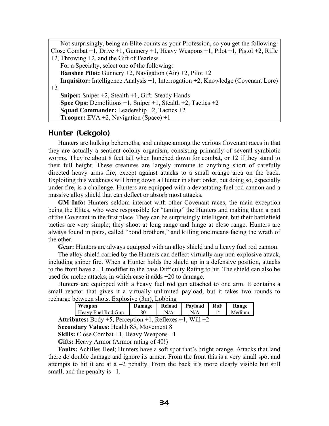| Not surprisingly, being an Elite counts as your Profession, so you get the following:          |
|------------------------------------------------------------------------------------------------|
| Close Combat +1, Drive +1, Gunnery +1, Heavy Weapons +1, Pilot +1, Pistol +2, Rifle            |
| $+2$ , Throwing $+2$ , and the Gift of Fearless.                                               |
| For a Specialty, select one of the following:                                                  |
| <b>Banshee Pilot:</b> Gunnery $+2$ , Navigation (Air) $+2$ , Pilot $+2$                        |
| <b>Inquisitor:</b> Intelligence Analysis $+1$ , Interrogation $+2$ , Knowledge (Covenant Lore) |
| $+2$                                                                                           |
| <b>Sniper:</b> Sniper $+2$ , Stealth $+1$ , Gift: Steady Hands                                 |
| <b>Spec Ops:</b> Demolitions $+1$ , Sniper $+1$ , Stealth $+2$ , Tactics $+2$                  |
| <b>Squad Commander:</b> Leadership $+2$ , Tactics $+2$                                         |
| <b>Trooper:</b> EVA $+2$ , Navigation (Space) $+1$                                             |

#### Hunter (Lekgolo)

Hunters are hulking behemoths, and unique among the various Covenant races in that they are actually a sentient colony organism, consisting primarily of several symbiotic worms. They're about 8 feet tall when hunched down for combat, or 12 if they stand to their full height. These creatures are largely immune to anything short of carefully directed heavy arms fire, except against attacks to a small orange area on the back. Exploiting this weakness will bring down a Hunter in short order, but doing so, especially under fire, is a challenge. Hunters are equipped with a devastating fuel rod cannon and a massive alloy shield that can deflect or absorb most attacks.

**GM Info:** Hunters seldom interact with other Covenant races, the main exception being the Elites, who were responsible for "taming" the Hunters and making them a part of the Covenant in the first place. They can be surprisingly intelligent, but their battlefield tactics are very simple; they shoot at long range and lunge at close range. Hunters are always found in pairs, called "bond brothers," and killing one means facing the wrath of the other.

**Gear:** Hunters are always equipped with an alloy shield and a heavy fuel rod cannon.

The alloy shield carried by the Hunters can deflect virtually any non-explosive attack, including sniper fire. When a Hunter holds the shield up in a defensive position, attacks to the front have a +1 modifier to the base Difficulty Rating to hit. The shield can also be used for melee attacks, in which case it adds +20 to damage.

Hunters are equipped with a heavy fuel rod gun attached to one arm. It contains a small reactor that gives it a virtually unlimited payload, but it takes two rounds to recharge between shots. Explosive (3m), Lobbing

| Weapon             | Damage | Reload | Pavload | RoF | Range  |
|--------------------|--------|--------|---------|-----|--------|
| Heavy Fuel Rod Gun | 80     | N/A    | N/A     | *   | Medium |

**Attributes:** Body +5, Perception +1, Reflexes +1, Will +2

**Secondary Values:** Health 85, Movement 8

**Skills:** Close Combat +1, Heavy Weapons +1

**Gifts:** Heavy Armor (Armor rating of 40!)

**Faults:** Achilles Heel; Hunters have a soft spot that's bright orange. Attacks that land there do double damage and ignore its armor. From the front this is a very small spot and attempts to hit it are at  $a - 2$  penalty. From the back it's more clearly visible but still small, and the penalty is  $-1$ .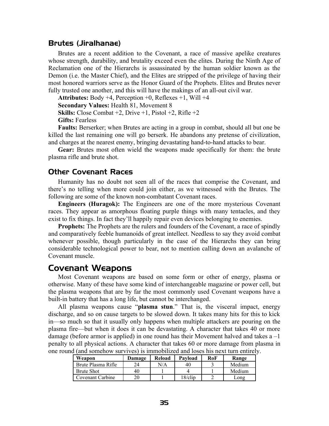#### Brutes (Jiralhanae)

Brutes are a recent addition to the Covenant, a race of massive apelike creatures whose strength, durability, and brutality exceed even the elites. During the Ninth Age of Reclamation one of the Hierarchs is assassinated by the human soldier known as the Demon (i.e. the Master Chief), and the Elites are stripped of the privilege of having their most honored warriors serve as the Honor Guard of the Prophets. Elites and Brutes never fully trusted one another, and this will have the makings of an all-out civil war.

**Attributes:** Body +4, Perception +0, Reflexes +1, Will +4

**Secondary Values:** Health 81, Movement 8

**Skills:** Close Combat  $+2$ , Drive  $+1$ , Pistol  $+2$ , Rifle  $+2$ 

**Gifts:** Fearless

**Faults:** Berserker; when Brutes are acting in a group in combat, should all but one be killed the last remaining one will go berserk. He abandons any pretense of civilization, and charges at the nearest enemy, bringing devastating hand-to-hand attacks to bear.

**Gear:** Brutes most often wield the weapons made specifically for them: the brute plasma rifle and brute shot.

#### Other Covenant Races

Humanity has no doubt not seen all of the races that comprise the Covenant, and there's no telling when more could join either, as we witnessed with the Brutes. The following are some of the known non-combatant Covenant races.

**Engineers (Huragok):** The Engineers are one of the more mysterious Covenant races. They appear as amorphous floating purple things with many tentacles, and they exist to fix things. In fact they'll happily repair even devices belonging to enemies.

**Prophets:** The Prophets are the rulers and founders of the Covenant, a race of spindly and comparatively feeble humanoids of great intellect. Needless to say they avoid combat whenever possible, though particularly in the case of the Hierarchs they can bring considerable technological power to bear, not to mention calling down an avalanche of Covenant muscle.

## <span id="page-34-0"></span>Covenant Weapons

Most Covenant weapons are based on some form or other of energy, plasma or otherwise. Many of these have some kind of interchangeable magazine or power cell, but the plasma weapons that are by far the most commonly used Covenant weapons have a built-in battery that has a long life, but cannot be interchanged.

All plasma weapons cause "**plasma stun**." That is, the visceral impact, energy discharge, and so on cause targets to be slowed down. It takes many hits for this to kick in—so much so that it usually only happens when multiple attackers are pouring on the plasma fire—but when it does it can be devastating. A character that takes 40 or more damage (before armor is applied) in one round has their Movement halved and takes  $a - 1$ penalty to all physical actions. A character that takes 60 or more damage from plasma in one round (and somehow survives) is immobilized and loses his next turn entirely.

| Weapon             | Damage | Reload | Payload    | RoF | Range        |
|--------------------|--------|--------|------------|-----|--------------|
| Brute Plasma Rifle | 24     | N/A    | 40         |     | Medium       |
| <b>Brute Shot</b>  | 40     |        |            |     | Medium       |
| Covenant Carbine   | 20     |        | $18$ /clip |     | $\omega$ ong |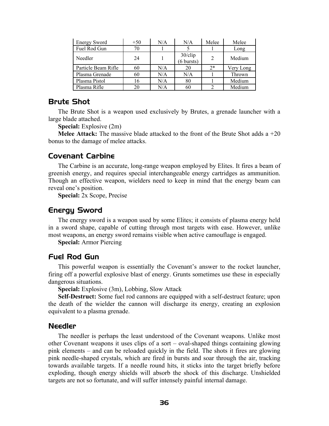| <b>Energy Sword</b> | $+50$ | N/A | N/A                                | Melee | Melee     |
|---------------------|-------|-----|------------------------------------|-------|-----------|
| Fuel Rod Gun        | 70    |     |                                    |       | Long      |
| Needler             | 24    |     | $30$ /clip<br>$(6 \text{ bursts})$ | 2     | Medium    |
| Particle Beam Rifle | 60    | N/A | 20                                 | $2*$  | Very Long |
| Plasma Grenade      | 60    | N/A | N/A                                |       | Thrown    |
| Plasma Pistol       | 16    | N/A | 80                                 |       | Medium    |
| Plasma Rifle        | 20    | N/A | 60                                 |       | Medium    |

## Brute Shot

The Brute Shot is a weapon used exclusively by Brutes, a grenade launcher with a large blade attached.

**Special:** Explosive (2m)

**Melee Attack:** The massive blade attacked to the front of the Brute Shot adds a +20 bonus to the damage of melee attacks.

#### Covenant Carbine

The Carbine is an accurate, long-range weapon employed by Elites. It fires a beam of greenish energy, and requires special interchangeable energy cartridges as ammunition. Though an effective weapon, wielders need to keep in mind that the energy beam can reveal one's position.

**Special:** 2x Scope, Precise

#### Energy Sword

The energy sword is a weapon used by some Elites; it consists of plasma energy held in a sword shape, capable of cutting through most targets with ease. However, unlike most weapons, an energy sword remains visible when active camouflage is engaged.

**Special:** Armor Piercing

#### Fuel Rod Gun

This powerful weapon is essentially the Covenant's answer to the rocket launcher, firing off a powerful explosive blast of energy. Grunts sometimes use these in especially dangerous situations.

**Special:** Explosive (3m), Lobbing, Slow Attack

**Self-Destruct:** Some fuel rod cannons are equipped with a self-destruct feature; upon the death of the wielder the cannon will discharge its energy, creating an explosion equivalent to a plasma grenade.

#### **Needler**

The needler is perhaps the least understood of the Covenant weapons. Unlike most other Covenant weapons it uses clips of a sort – oval-shaped things containing glowing pink elements – and can be reloaded quickly in the field. The shots it fires are glowing pink needle-shaped crystals, which are fired in bursts and soar through the air, tracking towards available targets. If a needle round hits, it sticks into the target briefly before exploding, though energy shields will absorb the shock of this discharge. Unshielded targets are not so fortunate, and will suffer intensely painful internal damage.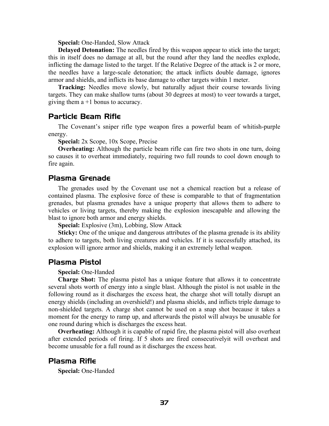**Special:** One-Handed, Slow Attack

**Delayed Detonation:** The needles fired by this weapon appear to stick into the target; this in itself does no damage at all, but the round after they land the needles explode, inflicting the damage listed to the target. If the Relative Degree of the attack is 2 or more, the needles have a large-scale detonation; the attack inflicts double damage, ignores armor and shields, and inflicts its base damage to other targets within 1 meter.

**Tracking:** Needles move slowly, but naturally adjust their course towards living targets. They can make shallow turns (about 30 degrees at most) to veer towards a target, giving them  $a + 1$  bonus to accuracy.

#### Particle Beam Rifle

The Covenant's sniper rifle type weapon fires a powerful beam of whitish-purple energy.

**Special:** 2x Scope, 10x Scope, Precise

**Overheating:** Although the particle beam rifle can fire two shots in one turn, doing so causes it to overheat immediately, requiring two full rounds to cool down enough to fire again.

#### Plasma Grenade

The grenades used by the Covenant use not a chemical reaction but a release of contained plasma. The explosive force of these is comparable to that of fragmentation grenades, but plasma grenades have a unique property that allows them to adhere to vehicles or living targets, thereby making the explosion inescapable and allowing the blast to ignore both armor and energy shields.

**Special:** Explosive (3m), Lobbing, Slow Attack

**Sticky:** One of the unique and dangerous attributes of the plasma grenade is its ability to adhere to targets, both living creatures and vehicles. If it is successfully attached, its explosion will ignore armor and shields, making it an extremely lethal weapon.

#### Plasma Pistol

**Special:** One-Handed

**Charge Shot:** The plasma pistol has a unique feature that allows it to concentrate several shots worth of energy into a single blast. Although the pistol is not usable in the following round as it discharges the excess heat, the charge shot will totally disrupt an energy shields (including an overshield!) and plasma shields, and inflicts triple damage to non-shielded targets. A charge shot cannot be used on a snap shot because it takes a moment for the energy to ramp up, and afterwards the pistol will always be unusable for one round during which is discharges the excess heat.

**Overheating:** Although it is capable of rapid fire, the plasma pistol will also overheat after extended periods of firing. If 5 shots are fired consecutivelyit will overheat and become unusable for a full round as it discharges the excess heat.

#### Plasma Rifle

**Special:** One-Handed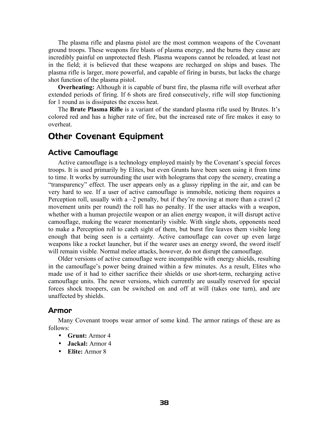The plasma rifle and plasma pistol are the most common weapons of the Covenant ground troops. These weapons fire blasts of plasma energy, and the burns they cause are incredibly painful on unprotected flesh. Plasma weapons cannot be reloaded, at least not in the field; it is believed that these weapons are recharged on ships and bases. The plasma rifle is larger, more powerful, and capable of firing in bursts, but lacks the charge shot function of the plasma pistol.

**Overheating:** Although it is capable of burst fire, the plasma rifle will overheat after extended periods of firing. If 6 shots are fired consecutively, rifle will stop functioning for 1 round as is dissipates the excess heat.

The **Brute Plasma Rifle** is a variant of the standard plasma rifle used by Brutes. It's colored red and has a higher rate of fire, but the increased rate of fire makes it easy to overheat.

## <span id="page-37-0"></span>Other Covenant Equipment

#### Active Camouflage

Active camouflage is a technology employed mainly by the Covenant's special forces troops. It is used primarily by Elites, but even Grunts have been seen using it from time to time. It works by surrounding the user with holograms that copy the scenery, creating a "transparency" effect. The user appears only as a glassy rippling in the air, and can be very hard to see. If a user of active camouflage is immobile, noticing them requires a Perception roll, usually with a  $-2$  penalty, but if they're moving at more than a crawl (2) movement units per round) the roll has no penalty. If the user attacks with a weapon, whether with a human projectile weapon or an alien energy weapon, it will disrupt active camouflage, making the wearer momentarily visible. With single shots, opponents need to make a Perception roll to catch sight of them, but burst fire leaves them visible long enough that being seen is a certainty. Active camouflage can cover up even large weapons like a rocket launcher, but if the wearer uses an energy sword, the sword itself will remain visible. Normal melee attacks, however, do not disrupt the camouflage.

Older versions of active camouflage were incompatible with energy shields, resulting in the camouflage's power being drained within a few minutes. As a result, Elites who made use of it had to either sacrifice their shields or use short-term, recharging active camouflage units. The newer versions, which currently are usually reserved for special forces shock troopers, can be switched on and off at will (takes one turn), and are unaffected by shields.

#### Armor

Many Covenant troops wear armor of some kind. The armor ratings of these are as follows:

- **Grunt:** Armor 4
- **Jackal:** Armor 4
- **Elite:** Armor 8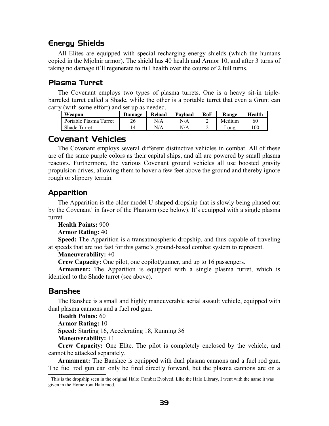## Energy Shields

All Elites are equipped with special recharging energy shields (which the humans copied in the Mjolnir armor). The shield has 40 health and Armor 10, and after 3 turns of taking no damage it'll regenerate to full health over the course of 2 full turns.

## Plasma Turret

The Covenant employs two types of plasma turrets. One is a heavy sit-in triplebarreled turret called a Shade, while the other is a portable turret that even a Grunt can carry (with some effort) and set up as needed.

| Weapon                 | Damage | Reload | Payload | RoF | Range  | Health |
|------------------------|--------|--------|---------|-----|--------|--------|
| Portable Plasma Turret | 26     | N/A    | N/A     |     | Medium | 60     |
| <b>Shade Turret</b>    | 14     | N/A    | N/A     |     | Long   | 100    |

## <span id="page-38-0"></span>Covenant Vehicles

The Covenant employs several different distinctive vehicles in combat. All of these are of the same purple colors as their capital ships, and all are powered by small plasma reactors. Furthermore, the various Covenant ground vehicles all use boosted gravity propulsion drives, allowing them to hover a few feet above the ground and thereby ignore rough or slippery terrain.

## Apparition

The Apparition is the older model U-shaped dropship that is slowly being phased out by the Covenant<sup>[1](#page-38-1)</sup> in favor of the Phantom (see below). It's equipped with a single plasma turret.

**Health Points:** 900

**Armor Rating:** 40

**Speed:** The Apparition is a transatmospheric dropship, and thus capable of traveling at speeds that are too fast for this game's ground-based combat system to represent.

#### **Maneuverability:** +0

**Crew Capacity:** One pilot, one copilot/gunner, and up to 16 passengers.

**Armament:** The Apparition is equipped with a single plasma turret, which is identical to the Shade turret (see above).

#### Banshee

The Banshee is a small and highly maneuverable aerial assault vehicle, equipped with dual plasma cannons and a fuel rod gun.

**Health Points:** 60

**Armor Rating:** 10

**Speed:** Starting 16, Accelerating 18, Running 36

**Maneuverability:** +1

**Crew Capacity:** One Elite. The pilot is completely enclosed by the vehicle, and cannot be attacked separately.

**Armament:** The Banshee is equipped with dual plasma cannons and a fuel rod gun. The fuel rod gun can only be fired directly forward, but the plasma cannons are on a

<span id="page-38-1"></span><sup>1</sup> This is the dropship seen in the original Halo: Combat Evolved. Like the Halo Library, I went with the name it was given in the Homefront Halo mod.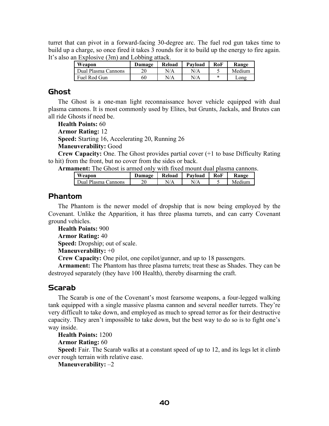turret that can pivot in a forward-facing 30-degree arc. The fuel rod gun takes time to build up a charge, so once fired it takes 3 rounds for it to build up the energy to fire again. It's also an Explosive (3m) and Lobbing attack.

| Weapon              | Damage | Reload | Payload | RoF | Range  |
|---------------------|--------|--------|---------|-----|--------|
| Dual Plasma Cannons | 20     | N/A    | N/A     |     | Medium |
| Fuel Rod Gun        | 60     | N/A    | N/A     |     | Long   |

#### Ghost

The Ghost is a one-man light reconnaissance hover vehicle equipped with dual plasma cannons. It is most commonly used by Elites, but Grunts, Jackals, and Brutes can all ride Ghosts if need be.

**Health Points:** 60

**Armor Rating:** 12

**Speed:** Starting 16, Accelerating 20, Running 26

**Maneuverability:** Good

**Crew Capacity:** One. The Ghost provides partial cover (+1 to base Difficulty Rating to hit) from the front, but no cover from the sides or back.

**Armament:** The Ghost is armed only with fixed mount dual plasma cannons.

| Weapon              | Damage | Reload | Payload | RoF | Range  |
|---------------------|--------|--------|---------|-----|--------|
| Dual Plasma Cannons | ንሰ     | N/A    |         |     | Medium |

### Phantom

The Phantom is the newer model of dropship that is now being employed by the Covenant. Unlike the Apparition, it has three plasma turrets, and can carry Covenant ground vehicles.

**Health Points:** 900 **Armor Rating:** 40

**Speed:** Dropship; out of scale.

**Maneuverability:** +0

**Crew Capacity:** One pilot, one copilot/gunner, and up to 18 passengers.

**Armament:** The Phantom has three plasma turrets; treat these as Shades. They can be destroyed separately (they have 100 Health), thereby disarming the craft.

#### Scarab

The Scarab is one of the Covenant's most fearsome weapons, a four-legged walking tank equipped with a single massive plasma cannon and several needler turrets. They're very difficult to take down, and employed as much to spread terror as for their destructive capacity. They aren't impossible to take down, but the best way to do so is to fight one's way inside.

**Health Points:** 1200

**Armor Rating:** 60

**Speed:** Fair. The Scarab walks at a constant speed of up to 12, and its legs let it climb over rough terrain with relative ease.

**Maneuverability:** –2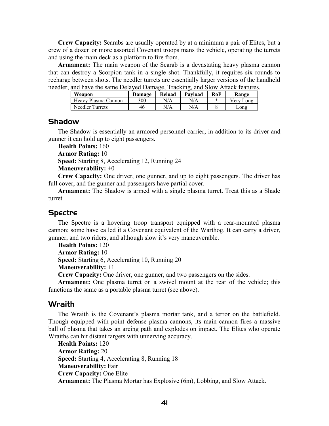**Crew Capacity:** Scarabs are usually operated by at a minimum a pair of Elites, but a crew of a dozen or more assorted Covenant troops mans the vehicle, operating the turrets and using the main deck as a platform to fire from.

**Armament:** The main weapon of the Scarab is a devastating heavy plasma cannon that can destroy a Scorpion tank in a single shot. Thankfully, it requires six rounds to recharge between shots. The needler turrets are essentially larger versions of the handheld needler, and have the same Delayed Damage, Tracking, and Slow Attack features.

| Weapon              | Damage | Reload | Payload | RoF | Range     |
|---------------------|--------|--------|---------|-----|-----------|
| Heavy Plasma Cannon | 300    | N/A    | N/A     | *   | Very Long |
| Needler Turrets     | 46     | N/A    | N/A     |     | Long      |

#### **Shadow**

The Shadow is essentially an armored personnel carrier; in addition to its driver and gunner it can hold up to eight passengers.

**Health Points:** 160 **Armor Rating:** 10 **Speed:** Starting 8, Accelerating 12, Running 24 **Maneuverability:** +0

**Crew Capacity:** One driver, one gunner, and up to eight passengers. The driver has full cover, and the gunner and passengers have partial cover.

**Armament:** The Shadow is armed with a single plasma turret. Treat this as a Shade turret.

#### Spectre

The Spectre is a hovering troop transport equipped with a rear-mounted plasma cannon; some have called it a Covenant equivalent of the Warthog. It can carry a driver, gunner, and two riders, and although slow it's very maneuverable.

**Health Points:** 120

**Armor Rating:** 10

**Speed:** Starting 6, Accelerating 10, Running 20

**Maneuverability:** +1

**Crew Capacity:** One driver, one gunner, and two passengers on the sides.

**Armament:** One plasma turret on a swivel mount at the rear of the vehicle; this functions the same as a portable plasma turret (see above).

#### Wraith

The Wraith is the Covenant's plasma mortar tank, and a terror on the battlefield. Though equipped with point defense plasma cannons, its main cannon fires a massive ball of plasma that takes an arcing path and explodes on impact. The Elites who operate Wraiths can hit distant targets with unnerving accuracy.

**Health Points:** 120 **Armor Rating:** 20 **Speed:** Starting 4, Accelerating 8, Running 18 **Maneuverability:** Fair **Crew Capacity:** One Elite **Armament:** The Plasma Mortar has Explosive (6m), Lobbing, and Slow Attack.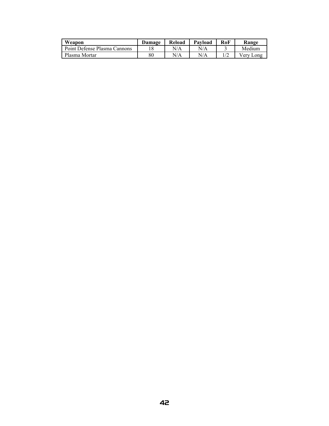| Weapon                       | Damage | Reload | Payload | RoF | Range          |
|------------------------------|--------|--------|---------|-----|----------------|
| Point Defense Plasma Cannons |        | N/A    | N/A     |     | Medium         |
| Plasma Mortar                | 80     | N/A    | N/A     |     | Very l<br>_ong |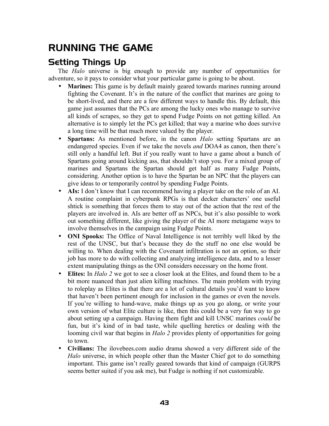# <span id="page-42-1"></span>RUNNING THE GAME

## <span id="page-42-0"></span>Setting Things Up

The *Halo* universe is big enough to provide any number of opportunities for adventure, so it pays to consider what your particular game is going to be about.

- **Marines:** This game is by default mainly geared towards marines running around fighting the Covenant. It's in the nature of the conflict that marines are going to be short-lived, and there are a few different ways to handle this. By default, this game just assumes that the PCs are among the lucky ones who manage to survive all kinds of scrapes, so they get to spend Fudge Points on not getting killed. An alternative is to simply let the PCs get killed; that way a marine who does survive a long time will be that much more valued by the player.
- **Spartans:** As mentioned before, in the canon *Halo* setting Spartans are an endangered species. Even if we take the novels *and* DOA4 as canon, then there's still only a handful left. But if you really want to have a game about a bunch of Spartans going around kicking ass, that shouldn't stop you. For a mixed group of marines and Spartans the Spartan should get half as many Fudge Points, considering. Another option is to have the Spartan be an NPC that the players can give ideas to or temporarily control by spending Fudge Points.
- **AIs:** I don't know that I can recommend having a player take on the role of an AI. A routine complaint in cyberpunk RPGs is that decker characters' one useful shtick is something that forces them to stay out of the action that the rest of the players are involved in. AIs are better off as NPCs, but it's also possible to work out something different, like giving the player of the AI more metagame ways to involve themselves in the campaign using Fudge Points.
- **ONI Spooks:** The Office of Naval Intelligence is not terribly well liked by the rest of the UNSC, but that's because they do the stuff no one else would be willing to. When dealing with the Covenant infiltration is not an option, so their job has more to do with collecting and analyzing intelligence data, and to a lesser extent manipulating things as the ONI considers necessary on the home front.
- Elites: In *Halo* 2 we got to see a closer look at the Elites, and found them to be a bit more nuanced than just alien killing machines. The main problem with trying to roleplay as Elites is that there are a lot of cultural details you'd want to know that haven't been pertinent enough for inclusion in the games or even the novels. If you're willing to hand-wave, make things up as you go along, or write your own version of what Elite culture is like, then this could be a very fun way to go about setting up a campaign. Having them fight and kill UNSC marines *could* be fun, but it's kind of in bad taste, while quelling heretics or dealing with the looming civil war that begins in *Halo* 2 provides plenty of opportunities for going to town.
- **Civilians:** The ilovebees.com audio drama showed a very different side of the *Halo* universe, in which people other than the Master Chief got to do something important. This game isn't really geared towards that kind of campaign (GURPS seems better suited if you ask me), but Fudge is nothing if not customizable.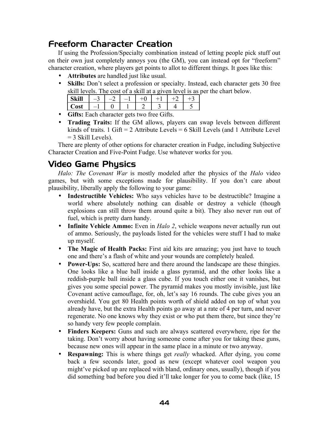# <span id="page-43-1"></span>Freeform Character Creation

If using the Profession/Specialty combination instead of letting people pick stuff out on their own just completely annoys you (the GM), you can instead opt for "freeform" character creation, where players get points to allot to different things. It goes like this:

- **Attributes** are handled just like usual.
- **Skills:** Don't select a profession or specialty. Instead, each character gets 30 free skill levels. The cost of a skill at a given level is as per the chart below.

| .: 11<br>кш<br>ັ |                          |  |  |  |  |  |  |
|------------------|--------------------------|--|--|--|--|--|--|
| net<br>və,       | $\overline{\phantom{0}}$ |  |  |  |  |  |  |
| .<br>$\sim$      |                          |  |  |  |  |  |  |

- **Gifts:** Each character gets two free Gifts.
- **Trading Traits:** If the GM allows, players can swap levels between different kinds of traits. 1 Gift = 2 Attribute Levels = 6 Skill Levels (and 1 Attribute Level)  $=$  3 Skill Levels).

There are plenty of other options for character creation in Fudge, including Subjective Character Creation and Five-Point Fudge. Use whatever works for you.

# <span id="page-43-0"></span>Video Game Physics

*Halo: The Covenant War* is mostly modeled after the physics of the *Halo* video games, but with some exceptions made for plausibility. If you don't care about plausibility, liberally apply the following to your game:

- **Indestructible Vehicles:** Who says vehicles have to be destructible? Imagine a world where absolutely nothing can disable or destroy a vehicle (though explosions can still throw them around quite a bit). They also never run out of fuel, which is pretty darn handy.
- **Infinite Vehicle Ammo:** Even in *Halo 2*, vehicle weapons never actually run out of ammo. Seriously, the payloads listed for the vehicles were stuff I had to make up myself.
- **The Magic of Health Packs:** First aid kits are amazing; you just have to touch one and there's a flash of white and your wounds are completely healed.
- **Power-Ups:** So, scattered here and there around the landscape are these thingies. One looks like a blue ball inside a glass pyramid, and the other looks like a reddish-purple ball inside a glass cube. If you touch either one it vanishes, but gives you some special power. The pyramid makes you mostly invisible, just like Covenant active camouflage, for, oh, let's say 16 rounds. The cube gives you an overshield. You get 80 Health points worth of shield added on top of what you already have, but the extra Health points go away at a rate of 4 per turn, and never regenerate. No one knows why they exist or who put them there, but since they're so handy very few people complain.
- **Finders Keepers:** Guns and such are always scattered everywhere, ripe for the taking. Don't worry about having someone come after you for taking these guns, because new ones will appear in the same place in a minute or two anyway.
- **Respawning:** This is where things get *really* whacked. After dying, you come back a few seconds later, good as new (except whatever cool weapon you might've picked up are replaced with bland, ordinary ones, usually), though if you did something bad before you died it'll take longer for you to come back (like, 15